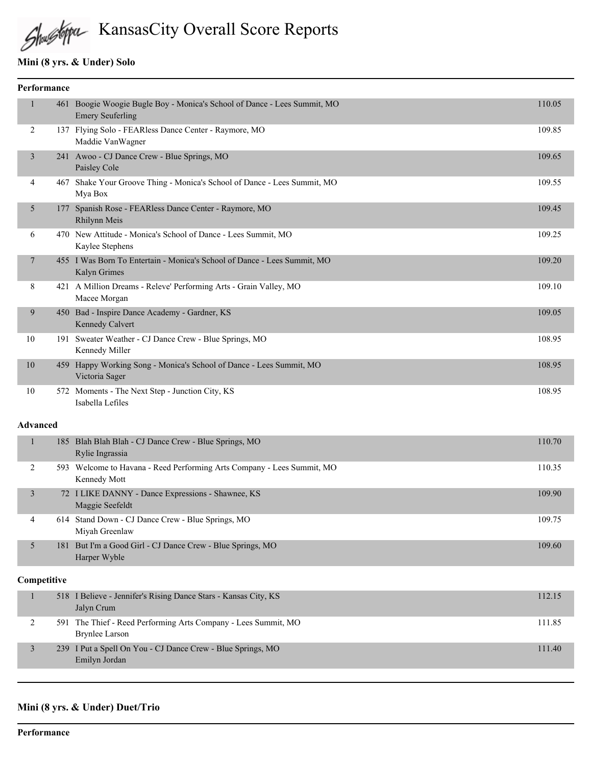# KansasCity Overall Score Reports

#### **Mini (8 yrs. & Under) Solo**

| Performance     |  |                                                                                                     |        |
|-----------------|--|-----------------------------------------------------------------------------------------------------|--------|
| 1               |  | 461 Boogie Woogie Bugle Boy - Monica's School of Dance - Lees Summit, MO<br><b>Emery Seuferling</b> | 110.05 |
| 2               |  | 137 Flying Solo - FEARless Dance Center - Raymore, MO<br>Maddie VanWagner                           | 109.85 |
| 3               |  | 241 Awoo - CJ Dance Crew - Blue Springs, MO<br>Paisley Cole                                         | 109.65 |
| 4               |  | 467 Shake Your Groove Thing - Monica's School of Dance - Lees Summit, MO<br>Mya Box                 | 109.55 |
| 5               |  | 177 Spanish Rose - FEARless Dance Center - Raymore, MO<br>Rhilynn Meis                              | 109.45 |
| 6               |  | 470 New Attitude - Monica's School of Dance - Lees Summit, MO<br>Kaylee Stephens                    | 109.25 |
| 7               |  | 455 I Was Born To Entertain - Monica's School of Dance - Lees Summit, MO<br>Kalyn Grimes            | 109.20 |
| 8               |  | 421 A Million Dreams - Releve' Performing Arts - Grain Valley, MO<br>Macee Morgan                   | 109.10 |
| 9               |  | 450 Bad - Inspire Dance Academy - Gardner, KS<br>Kennedy Calvert                                    | 109.05 |
| 10              |  | 191 Sweater Weather - CJ Dance Crew - Blue Springs, MO<br>Kennedy Miller                            | 108.95 |
| 10              |  | 459 Happy Working Song - Monica's School of Dance - Lees Summit, MO<br>Victoria Sager               | 108.95 |
| $10\,$          |  | 572 Moments - The Next Step - Junction City, KS<br>Isabella Lefiles                                 | 108.95 |
| <b>Advanced</b> |  |                                                                                                     |        |
| $\mathbf{1}$    |  | 185 Blah Blah Blah - CJ Dance Crew - Blue Springs, MO<br>Rylie Ingrassia                            | 110.70 |
| 2               |  | 593 Welcome to Havana - Reed Performing Arts Company - Lees Summit, MO<br>Kennedy Mott              | 110.35 |

 3 72 I LIKE DANNY - Dance Expressions - Shawnee, KS 109.90 Maggie Seefeldt 4 614 Stand Down - CJ Dance Crew - Blue Springs, MO 109.75 Miyah Greenlaw 5 181 But I'm a Good Girl - CJ Dance Crew - Blue Springs, MO 109.60 Harper Wyble

#### **Competitive**

| 518 I Believe - Jennifer's Rising Dance Stars - Kansas City, KS<br>Jalyn Crum    | 112.15 |
|----------------------------------------------------------------------------------|--------|
| 591 The Thief - Reed Performing Arts Company - Lees Summit, MO<br>Brynlee Larson | 111.85 |
| 239 I Put a Spell On You - CJ Dance Crew - Blue Springs, MO<br>Emilyn Jordan     | 111.40 |

#### **Mini (8 yrs. & Under) Duet/Trio**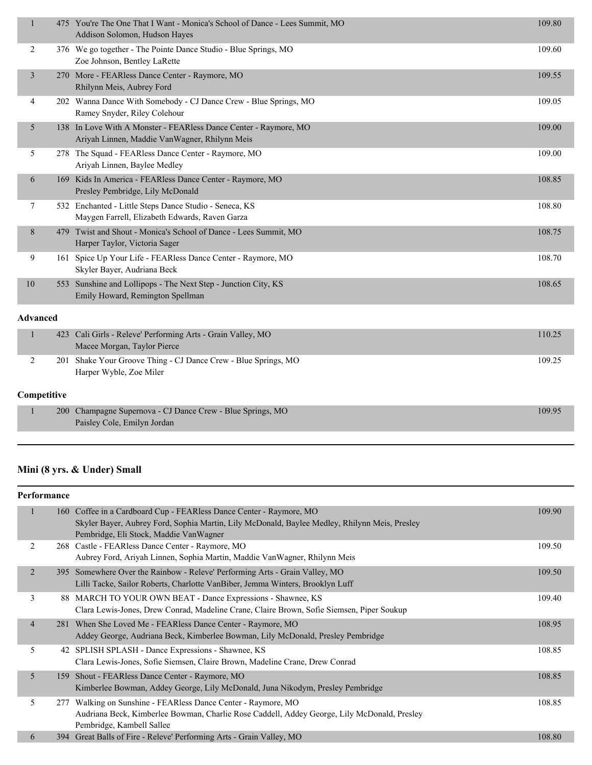| $\mathbf{1}$   |                 | 475 You're The One That I Want - Monica's School of Dance - Lees Summit, MO<br>Addison Solomon, Hudson Hayes      | 109.80 |
|----------------|-----------------|-------------------------------------------------------------------------------------------------------------------|--------|
| $\overline{2}$ |                 | 376 We go together - The Pointe Dance Studio - Blue Springs, MO<br>Zoe Johnson, Bentley LaRette                   | 109.60 |
| 3              |                 | 270 More - FEARless Dance Center - Raymore, MO<br>Rhilynn Meis, Aubrey Ford                                       | 109.55 |
| 4              |                 | 202 Wanna Dance With Somebody - CJ Dance Crew - Blue Springs, MO<br>Ramey Snyder, Riley Colehour                  | 109.05 |
| 5              |                 | 138 In Love With A Monster - FEARless Dance Center - Raymore, MO<br>Ariyah Linnen, Maddie VanWagner, Rhilynn Meis | 109.00 |
| 5              |                 | 278 The Squad - FEARless Dance Center - Raymore, MO<br>Ariyah Linnen, Baylee Medley                               | 109.00 |
| 6              |                 | 169 Kids In America - FEARless Dance Center - Raymore, MO<br>Presley Pembridge, Lily McDonald                     | 108.85 |
| 7              |                 | 532 Enchanted - Little Steps Dance Studio - Seneca, KS<br>Maygen Farrell, Elizabeth Edwards, Raven Garza          | 108.80 |
| 8              |                 | 479 Twist and Shout - Monica's School of Dance - Lees Summit, MO<br>Harper Taylor, Victoria Sager                 | 108.75 |
| 9              |                 | 161 Spice Up Your Life - FEARless Dance Center - Raymore, MO<br>Skyler Bayer, Audriana Beck                       | 108.70 |
| 10             |                 | 553 Sunshine and Lollipops - The Next Step - Junction City, KS<br>Emily Howard, Remington Spellman                | 108.65 |
|                | <b>Advanced</b> |                                                                                                                   |        |
| 1              |                 | 423 Cali Girls - Releve' Performing Arts - Grain Valley, MO<br>Macee Morgan, Taylor Pierce                        | 110.25 |
| $\overline{2}$ | 201             | Shake Your Groove Thing - CJ Dance Crew - Blue Springs, MO<br>Harper Wyble, Zoe Miler                             | 109.25 |
|                | Competitive     |                                                                                                                   |        |
| 1              | <b>200</b>      | Champagne Supernova - CJ Dance Crew - Blue Springs, MO<br>Paisley Cole, Emilyn Jordan                             | 109.95 |

# **Mini (8 yrs. & Under) Small**

| Performance    |     |                                                                                                                                                                                                                |        |
|----------------|-----|----------------------------------------------------------------------------------------------------------------------------------------------------------------------------------------------------------------|--------|
| ш              |     | 160 Coffee in a Cardboard Cup - FEARless Dance Center - Raymore, MO<br>Skyler Bayer, Aubrey Ford, Sophia Martin, Lily McDonald, Baylee Medley, Rhilynn Meis, Presley<br>Pembridge, Eli Stock, Maddie VanWagner | 109.90 |
| 2              |     | 268 Castle - FEARless Dance Center - Raymore, MO<br>Aubrey Ford, Ariyah Linnen, Sophia Martin, Maddie Van Wagner, Rhilynn Meis                                                                                 | 109.50 |
| 2              |     | 395 Somewhere Over the Rainbow - Releve' Performing Arts - Grain Valley, MO<br>Lilli Tacke, Sailor Roberts, Charlotte VanBiber, Jemma Winters, Brooklyn Luff                                                   | 109.50 |
| 3              |     | 88 MARCH TO YOUR OWN BEAT - Dance Expressions - Shawnee, KS<br>Clara Lewis-Jones, Drew Conrad, Madeline Crane, Claire Brown, Sofie Siemsen, Piper Soukup                                                       | 109.40 |
| $\overline{4}$ |     | 281 When She Loved Me - FEARless Dance Center - Raymore, MO<br>Addey George, Audriana Beck, Kimberlee Bowman, Lily McDonald, Presley Pembridge                                                                 | 108.95 |
| 5              |     | 42 SPLISH SPLASH - Dance Expressions - Shawnee, KS<br>Clara Lewis-Jones, Sofie Siemsen, Claire Brown, Madeline Crane, Drew Conrad                                                                              | 108.85 |
| 5              |     | 159 Shout - FEARless Dance Center - Raymore, MO<br>Kimberlee Bowman, Addey George, Lily McDonald, Juna Nikodym, Presley Pembridge                                                                              | 108.85 |
| 5              | 277 | Walking on Sunshine - FEARless Dance Center - Raymore, MO<br>Audriana Beck, Kimberlee Bowman, Charlie Rose Caddell, Addey George, Lily McDonald, Presley<br>Pembridge, Kambell Sallee                          | 108.85 |
| 6              |     | 394 Great Balls of Fire - Releve' Performing Arts - Grain Valley, MO                                                                                                                                           | 108.80 |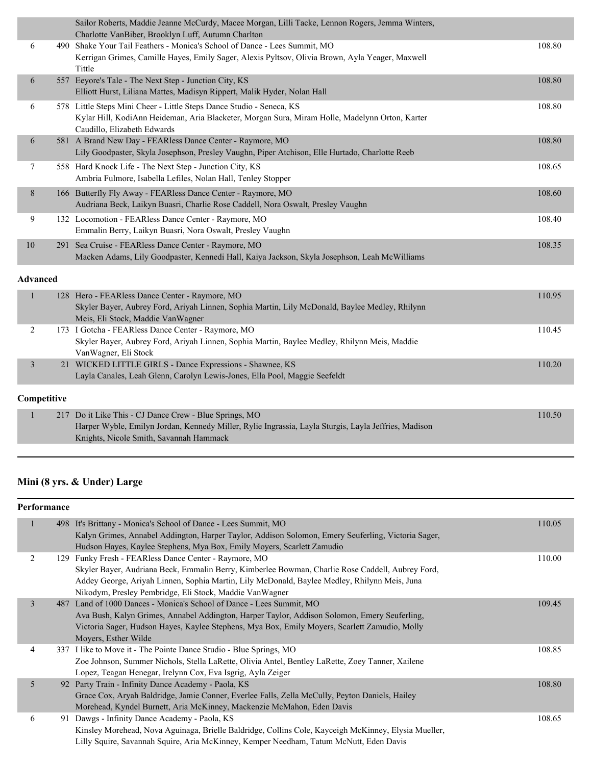|                 |             | Sailor Roberts, Maddie Jeanne McCurdy, Macee Morgan, Lilli Tacke, Lennon Rogers, Jemma Winters,<br>Charlotte VanBiber, Brooklyn Luff, Autumn Charlton                                                 |        |
|-----------------|-------------|-------------------------------------------------------------------------------------------------------------------------------------------------------------------------------------------------------|--------|
| 6               |             | 490 Shake Your Tail Feathers - Monica's School of Dance - Lees Summit, MO<br>Kerrigan Grimes, Camille Hayes, Emily Sager, Alexis Pyltsov, Olivia Brown, Ayla Yeager, Maxwell<br>Tittle                | 108.80 |
| 6               |             | 557 Eeyore's Tale - The Next Step - Junction City, KS<br>Elliott Hurst, Liliana Mattes, Madisyn Rippert, Malik Hyder, Nolan Hall                                                                      | 108.80 |
| 6               |             | 578 Little Steps Mini Cheer - Little Steps Dance Studio - Seneca, KS<br>Kylar Hill, KodiAnn Heideman, Aria Blacketer, Morgan Sura, Miram Holle, Madelynn Orton, Karter<br>Caudillo, Elizabeth Edwards | 108.80 |
| 6               |             | 581 A Brand New Day - FEARless Dance Center - Raymore, MO<br>Lily Goodpaster, Skyla Josephson, Presley Vaughn, Piper Atchison, Elle Hurtado, Charlotte Reeb                                           | 108.80 |
| 7               |             | 558 Hard Knock Life - The Next Step - Junction City, KS<br>Ambria Fulmore, Isabella Lefiles, Nolan Hall, Tenley Stopper                                                                               | 108.65 |
| $8\phantom{.}$  |             | 166 Butterfly Fly Away - FEARless Dance Center - Raymore, MO<br>Audriana Beck, Laikyn Buasri, Charlie Rose Caddell, Nora Oswalt, Presley Vaughn                                                       | 108.60 |
| 9               |             | 132 Locomotion - FEARless Dance Center - Raymore, MO<br>Emmalin Berry, Laikyn Buasri, Nora Oswalt, Presley Vaughn                                                                                     | 108.40 |
| 10              |             | 291 Sea Cruise - FEARless Dance Center - Raymore, MO<br>Macken Adams, Lily Goodpaster, Kennedi Hall, Kaiya Jackson, Skyla Josephson, Leah McWilliams                                                  | 108.35 |
| <b>Advanced</b> |             |                                                                                                                                                                                                       |        |
| 1               |             | 128 Hero - FEARless Dance Center - Raymore, MO<br>Skyler Bayer, Aubrey Ford, Ariyah Linnen, Sophia Martin, Lily McDonald, Baylee Medley, Rhilynn<br>Meis, Eli Stock, Maddie VanWagner                 | 110.95 |
| 2               |             | 173 I Gotcha - FEARless Dance Center - Raymore, MO<br>Skyler Bayer, Aubrey Ford, Ariyah Linnen, Sophia Martin, Baylee Medley, Rhilynn Meis, Maddie<br>VanWagner, Eli Stock                            | 110.45 |
| $\mathfrak{Z}$  |             | 21 WICKED LITTLE GIRLS - Dance Expressions - Shawnee, KS<br>Layla Canales, Leah Glenn, Carolyn Lewis-Jones, Ella Pool, Maggie Seefeldt                                                                | 110.20 |
|                 | Competitive |                                                                                                                                                                                                       |        |
| $\mathbf{1}$    |             | 217 Do it Like This - CJ Dance Crew - Blue Springs, MO<br>Harper Wyble, Emilyn Jordan, Kennedy Miller, Rylie Ingrassia, Layla Sturgis, Layla Jeffries, Madison                                        | 110.50 |

# **Mini (8 yrs. & Under) Large**

Knights, Nicole Smith, Savannah Hammack

|                | Performance |                                                                                                                                                                                                                                                                                                                                                                                                |        |  |
|----------------|-------------|------------------------------------------------------------------------------------------------------------------------------------------------------------------------------------------------------------------------------------------------------------------------------------------------------------------------------------------------------------------------------------------------|--------|--|
|                |             | 498 It's Brittany - Monica's School of Dance - Lees Summit, MO<br>Kalyn Grimes, Annabel Addington, Harper Taylor, Addison Solomon, Emery Seuferling, Victoria Sager,                                                                                                                                                                                                                           | 110.05 |  |
| $\overline{2}$ |             | Hudson Hayes, Kaylee Stephens, Mya Box, Emily Moyers, Scarlett Zamudio<br>129 Funky Fresh - FEARless Dance Center - Raymore, MO<br>Skyler Bayer, Audriana Beck, Emmalin Berry, Kimberlee Bowman, Charlie Rose Caddell, Aubrey Ford,<br>Addey George, Ariyah Linnen, Sophia Martin, Lily McDonald, Baylee Medley, Rhilynn Meis, Juna<br>Nikodym, Presley Pembridge, Eli Stock, Maddie VanWagner | 110.00 |  |
| $\overline{3}$ |             | 487 Land of 1000 Dances - Monica's School of Dance - Lees Summit, MO<br>Ava Bush, Kalyn Grimes, Annabel Addington, Harper Taylor, Addison Solomon, Emery Seuferling,<br>Victoria Sager, Hudson Hayes, Kaylee Stephens, Mya Box, Emily Moyers, Scarlett Zamudio, Molly<br>Moyers, Esther Wilde                                                                                                  | 109.45 |  |
| 4              |             | 337 I like to Move it - The Pointe Dance Studio - Blue Springs, MO<br>Zoe Johnson, Summer Nichols, Stella LaRette, Olivia Antel, Bentley LaRette, Zoey Tanner, Xailene<br>Lopez, Teagan Henegar, Irelynn Cox, Eva Isgrig, Ayla Zeiger                                                                                                                                                          | 108.85 |  |
| 5 <sup>5</sup> |             | 92 Party Train - Infinity Dance Academy - Paola, KS<br>Grace Cox, Aryah Baldridge, Jamie Conner, Everlee Falls, Zella McCully, Peyton Daniels, Hailey<br>Morehead, Kyndel Burnett, Aria McKinney, Mackenzie McMahon, Eden Davis                                                                                                                                                                | 108.80 |  |
| 6              |             | 91 Dawgs - Infinity Dance Academy - Paola, KS<br>Kinsley Morehead, Nova Aguinaga, Brielle Baldridge, Collins Cole, Kayceigh McKinney, Elysia Mueller,<br>Lilly Squire, Savannah Squire, Aria McKinney, Kemper Needham, Tatum McNutt, Eden Davis                                                                                                                                                | 108.65 |  |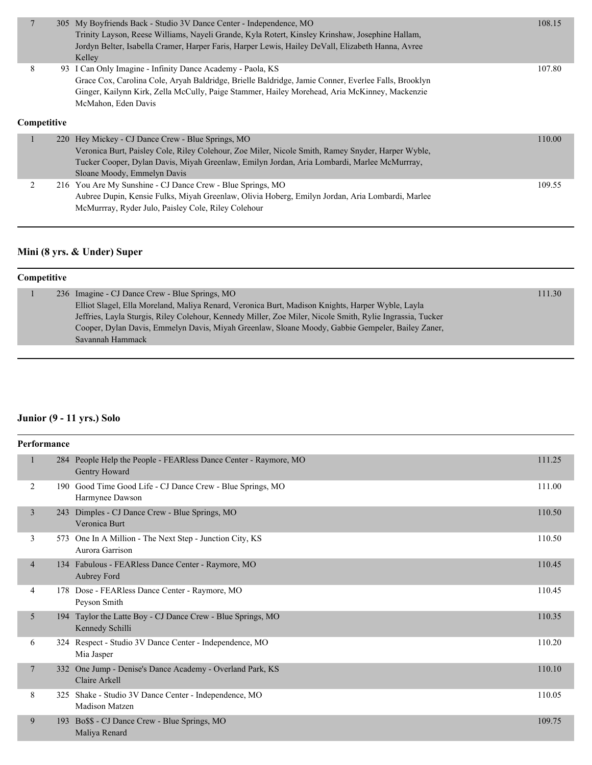|                  | 305 My Boyfriends Back - Studio 3V Dance Center - Independence, MO<br>Trinity Layson, Reese Williams, Nayeli Grande, Kyla Rotert, Kinsley Krinshaw, Josephine Hallam,<br>Jordyn Belter, Isabella Cramer, Harper Faris, Harper Lewis, Hailey DeVall, Elizabeth Hanna, Avree<br>Kelley      | 108.15 |
|------------------|-------------------------------------------------------------------------------------------------------------------------------------------------------------------------------------------------------------------------------------------------------------------------------------------|--------|
| 8<br>Competitive | 93 I Can Only Imagine - Infinity Dance Academy - Paola, KS<br>Grace Cox, Carolina Cole, Aryah Baldridge, Brielle Baldridge, Jamie Conner, Everlee Falls, Brooklyn<br>Ginger, Kailynn Kirk, Zella McCully, Paige Stammer, Hailey Morehead, Aria McKinney, Mackenzie<br>McMahon, Eden Davis | 107.80 |
|                  | 220 Hey Mickey - CJ Dance Crew - Blue Springs, MO<br>Veronica Burt, Paisley Cole, Riley Colehour, Zoe Miler, Nicole Smith, Ramey Snyder, Harper Wyble,<br>Tucker Cooper, Dylan Davis, Miyah Greenlaw, Emilyn Jordan, Aria Lombardi, Marlee McMurrray,<br>Sloane Moody, Emmelyn Davis      | 110.00 |
| 2                | 216 You Are My Sunshine - CJ Dance Crew - Blue Springs, MO<br>Aubree Dupin, Kensie Fulks, Miyah Greenlaw, Olivia Hoberg, Emilyn Jordan, Aria Lombardi, Marlee<br>McMurrray, Ryder Julo, Paisley Cole, Riley Colehour                                                                      | 109.55 |

# **Mini (8 yrs. & Under) Super**

| <b>Competitive</b> |                                                                                                           |        |  |  |
|--------------------|-----------------------------------------------------------------------------------------------------------|--------|--|--|
|                    | 236 Imagine - CJ Dance Crew - Blue Springs, MO                                                            | 111.30 |  |  |
|                    | Elliot Slagel, Ella Moreland, Maliya Renard, Veronica Burt, Madison Knights, Harper Wyble, Layla          |        |  |  |
|                    | Jeffries, Layla Sturgis, Riley Colehour, Kennedy Miller, Zoe Miler, Nicole Smith, Rylie Ingrassia, Tucker |        |  |  |
|                    | Cooper, Dylan Davis, Emmelyn Davis, Miyah Greenlaw, Sloane Moody, Gabbie Gempeler, Bailey Zaner,          |        |  |  |
|                    | Savannah Hammack                                                                                          |        |  |  |
|                    |                                                                                                           |        |  |  |

# **Junior (9 - 11 yrs.) Solo**

|                | Performance |                                                                                   |        |  |  |
|----------------|-------------|-----------------------------------------------------------------------------------|--------|--|--|
| 1              |             | 284 People Help the People - FEARless Dance Center - Raymore, MO<br>Gentry Howard | 111.25 |  |  |
| 2              | 190         | Good Time Good Life - CJ Dance Crew - Blue Springs, MO<br>Harmynee Dawson         | 111.00 |  |  |
| 3              | 243         | Dimples - CJ Dance Crew - Blue Springs, MO<br>Veronica Burt                       | 110.50 |  |  |
| 3              |             | 573 One In A Million - The Next Step - Junction City, KS<br>Aurora Garrison       | 110.50 |  |  |
| $\overline{4}$ |             | 134 Fabulous - FEARless Dance Center - Raymore, MO<br>Aubrey Ford                 | 110.45 |  |  |
| 4              |             | 178 Dose - FEARless Dance Center - Raymore, MO<br>Peyson Smith                    | 110.45 |  |  |
| 5              |             | 194 Taylor the Latte Boy - CJ Dance Crew - Blue Springs, MO<br>Kennedy Schilli    | 110.35 |  |  |
| 6              |             | 324 Respect - Studio 3V Dance Center - Independence, MO<br>Mia Jasper             | 110.20 |  |  |
| 7              | 332         | One Jump - Denise's Dance Academy - Overland Park, KS<br>Claire Arkell            | 110.10 |  |  |
| 8              | 325         | Shake - Studio 3V Dance Center - Independence, MO<br>Madison Matzen               | 110.05 |  |  |
| 9              |             | 193 Bo\$\$ - CJ Dance Crew - Blue Springs, MO<br>Maliya Renard                    | 109.75 |  |  |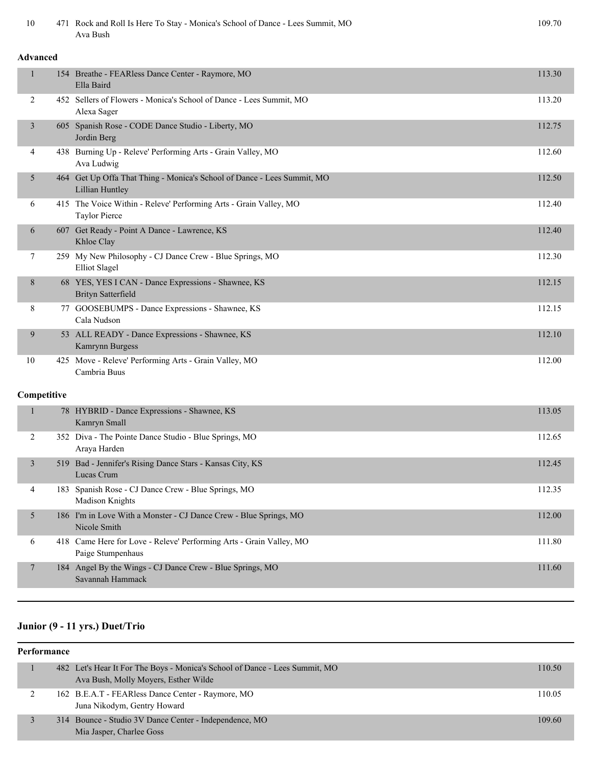| 10             |                 | 471 Rock and Roll Is Here To Stay - Monica's School of Dance - Lees Summit, MO<br>Ava Bush | 109.70 |  |  |
|----------------|-----------------|--------------------------------------------------------------------------------------------|--------|--|--|
|                | <b>Advanced</b> |                                                                                            |        |  |  |
| $\mathbf{1}$   |                 | 154 Breathe - FEARless Dance Center - Raymore, MO<br>Ella Baird                            | 113.30 |  |  |
| 2              |                 | 452 Sellers of Flowers - Monica's School of Dance - Lees Summit, MO<br>Alexa Sager         | 113.20 |  |  |
| $\mathfrak{Z}$ |                 | 605 Spanish Rose - CODE Dance Studio - Liberty, MO<br>Jordin Berg                          | 112.75 |  |  |
| 4              |                 | 438 Burning Up - Releve' Performing Arts - Grain Valley, MO<br>Ava Ludwig                  | 112.60 |  |  |
| 5              |                 | 464 Get Up Offa That Thing - Monica's School of Dance - Lees Summit, MO<br>Lillian Huntley | 112.50 |  |  |
| 6              |                 | 415 The Voice Within - Releve' Performing Arts - Grain Valley, MO<br><b>Taylor Pierce</b>  | 112.40 |  |  |
| 6              |                 | 607 Get Ready - Point A Dance - Lawrence, KS<br>Khloe Clay                                 | 112.40 |  |  |
| 7              |                 | 259 My New Philosophy - CJ Dance Crew - Blue Springs, MO<br><b>Elliot Slagel</b>           | 112.30 |  |  |
| 8              |                 | 68 YES, YES I CAN - Dance Expressions - Shawnee, KS<br><b>Brityn Satterfield</b>           | 112.15 |  |  |
| 8              |                 | 77 GOOSEBUMPS - Dance Expressions - Shawnee, KS<br>Cala Nudson                             | 112.15 |  |  |
| 9              |                 | 53 ALL READY - Dance Expressions - Shawnee, KS<br>Kamrynn Burgess                          | 112.10 |  |  |
| 10             |                 | 425 Move - Releve' Performing Arts - Grain Valley, MO<br>Cambria Buus                      | 112.00 |  |  |
| Competitive    |                 |                                                                                            |        |  |  |
| $\mathbf{1}$   |                 | 78 HYBRID - Dance Expressions - Shawnee, KS<br>Kamryn Small                                | 113.05 |  |  |
| 2              |                 | 352 Diva - The Pointe Dance Studio - Blue Springs, MO<br>Araya Harden                      | 112.65 |  |  |
| $\mathfrak{Z}$ |                 | 519 Bad - Jennifer's Rising Dance Stars - Kansas City, KS<br>Lucas Crum                    | 112.45 |  |  |
| 4              |                 | 183 Spanish Rose - CJ Dance Crew - Blue Springs, MO<br>Madison Knights                     | 112.35 |  |  |
| 5 <sup>5</sup> |                 | 186 I'm in Love With a Monster - CJ Dance Crew - Blue Springs, MO<br>Nicole Smith          | 112.00 |  |  |
| 6              |                 | 418 Came Here for Love - Releve' Performing Arts - Grain Valley, MO<br>Paige Stumpenhaus   | 111.80 |  |  |
| 7              |                 | 184 Angel By the Wings - CJ Dance Crew - Blue Springs, MO<br>Savannah Hammack              | 111.60 |  |  |
|                |                 |                                                                                            |        |  |  |

# **Junior (9 - 11 yrs.) Duet/Trio**

| Performance |  |                                                                             |        |
|-------------|--|-----------------------------------------------------------------------------|--------|
|             |  | 482 Let's Hear It For The Boys - Monica's School of Dance - Lees Summit, MO | 110.50 |
|             |  | Ava Bush, Molly Moyers, Esther Wilde                                        |        |
|             |  | 162 B.E.A.T - FEARless Dance Center - Raymore, MO                           | 110.05 |
|             |  | Juna Nikodym, Gentry Howard                                                 |        |
|             |  | 314 Bounce - Studio 3V Dance Center - Independence, MO                      | 109.60 |
|             |  | Mia Jasper, Charlee Goss                                                    |        |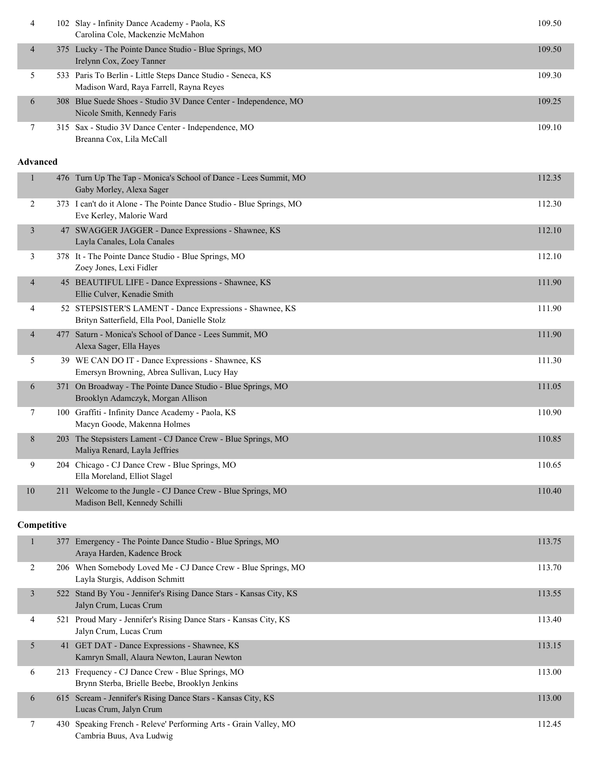| 4             | 102 Slay - Infinity Dance Academy - Paola, KS<br>Carolina Cole, Mackenzie McMahon                       | 109.50 |
|---------------|---------------------------------------------------------------------------------------------------------|--------|
| 4             | 375 Lucky - The Pointe Dance Studio - Blue Springs, MO<br>Irelynn Cox, Zoey Tanner                      | 109.50 |
| $\mathcal{L}$ | 533 Paris To Berlin - Little Steps Dance Studio - Seneca, KS<br>Madison Ward, Raya Farrell, Rayna Reyes | 109.30 |
| 6             | 308 Blue Suede Shoes - Studio 3V Dance Center - Independence, MO<br>Nicole Smith, Kennedy Faris         | 109.25 |
|               | 315 Sax - Studio 3V Dance Center - Independence, MO<br>Breanna Cox, Lila McCall                         | 109.10 |

#### **Advanced**

| 1                        |     | 476 Turn Up The Tap - Monica's School of Dance - Lees Summit, MO<br>Gaby Morley, Alexa Sager              | 112.35 |
|--------------------------|-----|-----------------------------------------------------------------------------------------------------------|--------|
| 2                        |     | 373 I can't do it Alone - The Pointe Dance Studio - Blue Springs, MO<br>Eve Kerley, Malorie Ward          | 112.30 |
| $\overline{3}$           |     | 47 SWAGGER JAGGER - Dance Expressions - Shawnee, KS<br>Layla Canales, Lola Canales                        | 112.10 |
| 3                        |     | 378 It - The Pointe Dance Studio - Blue Springs, MO<br>Zoey Jones, Lexi Fidler                            | 112.10 |
| $\overline{4}$           |     | 45 BEAUTIFUL LIFE - Dance Expressions - Shawnee, KS<br>Ellie Culver, Kenadie Smith                        | 111.90 |
| 4                        |     | 52 STEPSISTER'S LAMENT - Dance Expressions - Shawnee, KS<br>Brityn Satterfield, Ella Pool, Danielle Stolz | 111.90 |
| $\overline{\mathcal{A}}$ | 477 | Saturn - Monica's School of Dance - Lees Summit, MO<br>Alexa Sager, Ella Hayes                            | 111.90 |
| 5                        |     | 39 WE CAN DO IT - Dance Expressions - Shawnee, KS<br>Emersyn Browning, Abrea Sullivan, Lucy Hay           | 111.30 |
| 6                        | 371 | On Broadway - The Pointe Dance Studio - Blue Springs, MO<br>Brooklyn Adamczyk, Morgan Allison             | 111.05 |
| 7                        |     | 100 Graffiti - Infinity Dance Academy - Paola, KS<br>Macyn Goode, Makenna Holmes                          | 110.90 |
| 8                        | 203 | The Stepsisters Lament - CJ Dance Crew - Blue Springs, MO<br>Maliya Renard, Layla Jeffries                | 110.85 |
| 9                        |     | 204 Chicago - CJ Dance Crew - Blue Springs, MO<br>Ella Moreland, Elliot Slagel                            | 110.65 |
| 10                       |     | 211 Welcome to the Jungle - CJ Dance Crew - Blue Springs, MO<br>Madison Bell, Kennedy Schilli             | 110.40 |

#### **Competitive**

| п              | Emergency - The Pointe Dance Studio - Blue Springs, MO<br>377<br>Araya Harden, Kadence Brock       | 113.75 |
|----------------|----------------------------------------------------------------------------------------------------|--------|
| 2              | When Somebody Loved Me - CJ Dance Crew - Blue Springs, MO<br>206<br>Layla Sturgis, Addison Schmitt | 113.70 |
| $\overline{3}$ | 522 Stand By You - Jennifer's Rising Dance Stars - Kansas City, KS<br>Jalyn Crum, Lucas Crum       | 113.55 |
| $\overline{4}$ | 521 Proud Mary - Jennifer's Rising Dance Stars - Kansas City, KS<br>Jalyn Crum, Lucas Crum         | 113.40 |
| 5              | 41 GET DAT - Dance Expressions - Shawnee, KS<br>Kamryn Small, Alaura Newton, Lauran Newton         | 113.15 |
| 6              | 213 Frequency - CJ Dance Crew - Blue Springs, MO<br>Brynn Sterba, Brielle Beebe, Brooklyn Jenkins  | 113.00 |
| 6              | 615 Scream - Jennifer's Rising Dance Stars - Kansas City, KS<br>Lucas Crum, Jalyn Crum             | 113.00 |
| 7              | Speaking French - Releve' Performing Arts - Grain Valley, MO<br>430<br>Cambria Buus, Ava Ludwig    | 112.45 |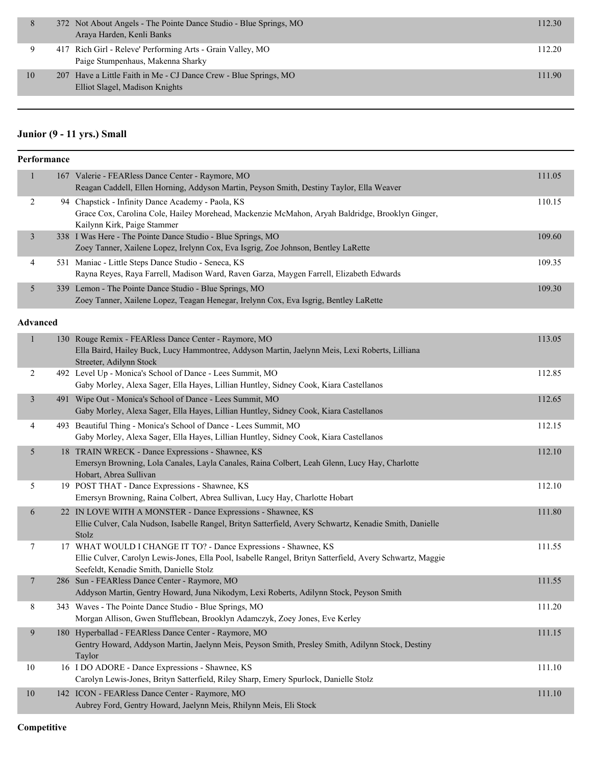|    | 372 Not About Angels - The Pointe Dance Studio - Blue Springs, MO<br>Araya Harden, Kenli Banks     | 112.30 |
|----|----------------------------------------------------------------------------------------------------|--------|
|    | 417 Rich Girl - Releve' Performing Arts - Grain Valley, MO<br>Paige Stumpenhaus, Makenna Sharky    | 112.20 |
| 10 | 207 Have a Little Faith in Me - CJ Dance Crew - Blue Springs, MO<br>Elliot Slagel, Madison Knights | 111.90 |

# **Junior (9 - 11 yrs.) Small**

|                | Performance     |                                                                                                                                                                                                                         |        |
|----------------|-----------------|-------------------------------------------------------------------------------------------------------------------------------------------------------------------------------------------------------------------------|--------|
| $\mathbf{1}$   |                 | 167 Valerie - FEARless Dance Center - Raymore, MO<br>Reagan Caddell, Ellen Horning, Addyson Martin, Peyson Smith, Destiny Taylor, Ella Weaver                                                                           | 111.05 |
| $\overline{c}$ |                 | 94 Chapstick - Infinity Dance Academy - Paola, KS<br>Grace Cox, Carolina Cole, Hailey Morehead, Mackenzie McMahon, Aryah Baldridge, Brooklyn Ginger,<br>Kailynn Kirk, Paige Stammer                                     | 110.15 |
| $\mathfrak{Z}$ |                 | 338 I Was Here - The Pointe Dance Studio - Blue Springs, MO<br>Zoey Tanner, Xailene Lopez, Irelynn Cox, Eva Isgrig, Zoe Johnson, Bentley LaRette                                                                        | 109.60 |
| 4              |                 | 531 Maniac - Little Steps Dance Studio - Seneca, KS<br>Rayna Reyes, Raya Farrell, Madison Ward, Raven Garza, Maygen Farrell, Elizabeth Edwards                                                                          | 109.35 |
| 5              |                 | 339 Lemon - The Pointe Dance Studio - Blue Springs, MO<br>Zoey Tanner, Xailene Lopez, Teagan Henegar, Irelynn Cox, Eva Isgrig, Bentley LaRette                                                                          | 109.30 |
|                | <b>Advanced</b> |                                                                                                                                                                                                                         |        |
| $\mathbf{1}$   |                 | 130 Rouge Remix - FEARless Dance Center - Raymore, MO<br>Ella Baird, Hailey Buck, Lucy Hammontree, Addyson Martin, Jaelynn Meis, Lexi Roberts, Lilliana<br>Streeter, Adilynn Stock                                      | 113.05 |
| 2              |                 | 492 Level Up - Monica's School of Dance - Lees Summit, MO<br>Gaby Morley, Alexa Sager, Ella Hayes, Lillian Huntley, Sidney Cook, Kiara Castellanos                                                                      | 112.85 |
| 3              |                 | 491 Wipe Out - Monica's School of Dance - Lees Summit, MO<br>Gaby Morley, Alexa Sager, Ella Hayes, Lillian Huntley, Sidney Cook, Kiara Castellanos                                                                      | 112.65 |
| 4              |                 | 493 Beautiful Thing - Monica's School of Dance - Lees Summit, MO<br>Gaby Morley, Alexa Sager, Ella Hayes, Lillian Huntley, Sidney Cook, Kiara Castellanos                                                               | 112.15 |
| 5              |                 | 18 TRAIN WRECK - Dance Expressions - Shawnee, KS<br>Emersyn Browning, Lola Canales, Layla Canales, Raina Colbert, Leah Glenn, Lucy Hay, Charlotte<br>Hobart, Abrea Sullivan                                             | 112.10 |
| 5              |                 | 19 POST THAT - Dance Expressions - Shawnee, KS<br>Emersyn Browning, Raina Colbert, Abrea Sullivan, Lucy Hay, Charlotte Hobart                                                                                           | 112.10 |
| 6              |                 | 22 IN LOVE WITH A MONSTER - Dance Expressions - Shawnee, KS<br>Ellie Culver, Cala Nudson, Isabelle Rangel, Brityn Satterfield, Avery Schwartz, Kenadie Smith, Danielle<br>Stolz                                         | 111.80 |
| 7              |                 | 17 WHAT WOULD I CHANGE IT TO? - Dance Expressions - Shawnee, KS<br>Ellie Culver, Carolyn Lewis-Jones, Ella Pool, Isabelle Rangel, Brityn Satterfield, Avery Schwartz, Maggie<br>Seefeldt, Kenadie Smith, Danielle Stolz | 111.55 |
| 7              |                 | 286 Sun - FEARless Dance Center - Raymore, MO<br>Addyson Martin, Gentry Howard, Juna Nikodym, Lexi Roberts, Adilynn Stock, Peyson Smith                                                                                 | 111.55 |
| 8              |                 | 343 Waves - The Pointe Dance Studio - Blue Springs, MO<br>Morgan Allison, Gwen Stufflebean, Brooklyn Adamczyk, Zoey Jones, Eve Kerley                                                                                   | 111.20 |
| 9              |                 | 180 Hyperballad - FEARless Dance Center - Raymore, MO<br>Gentry Howard, Addyson Martin, Jaelynn Meis, Peyson Smith, Presley Smith, Adilynn Stock, Destiny<br>Taylor                                                     | 111.15 |
| 10             |                 | 16 I DO ADORE - Dance Expressions - Shawnee, KS<br>Carolyn Lewis-Jones, Brityn Satterfield, Riley Sharp, Emery Spurlock, Danielle Stolz                                                                                 | 111.10 |
| $10\,$         |                 | 142 ICON - FEARless Dance Center - Raymore, MO<br>Aubrey Ford, Gentry Howard, Jaelynn Meis, Rhilynn Meis, Eli Stock                                                                                                     | 111.10 |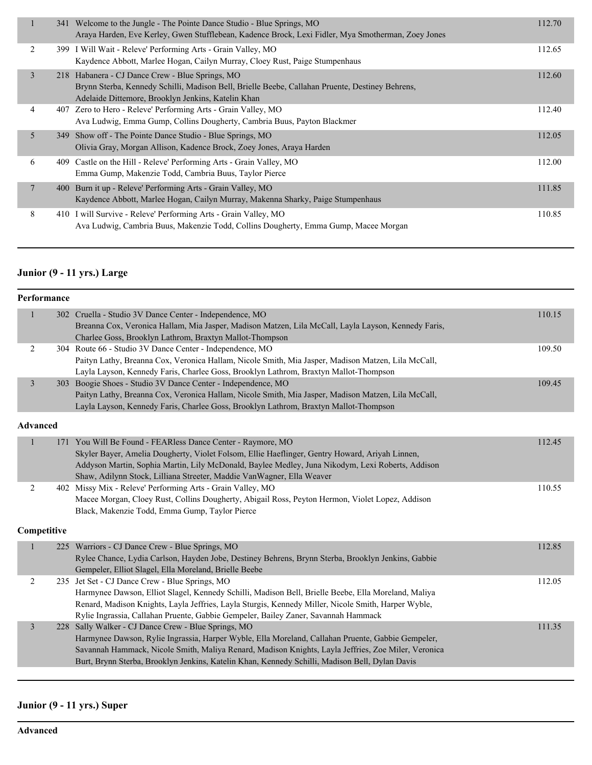|        |     | 341 Welcome to the Jungle - The Pointe Dance Studio - Blue Springs, MO<br>Araya Harden, Eve Kerley, Gwen Stufflebean, Kadence Brock, Lexi Fidler, Mya Smotherman, Zoey Jones                             | 112.70 |
|--------|-----|----------------------------------------------------------------------------------------------------------------------------------------------------------------------------------------------------------|--------|
| 2      |     | 399 I Will Wait - Releve' Performing Arts - Grain Valley, MO<br>Kaydence Abbott, Marlee Hogan, Cailyn Murray, Cloey Rust, Paige Stumpenhaus                                                              | 112.65 |
| 3      |     | 218 Habanera - CJ Dance Crew - Blue Springs, MO<br>Brynn Sterba, Kennedy Schilli, Madison Bell, Brielle Beebe, Callahan Pruente, Destiney Behrens,<br>Adelaide Dittemore, Brooklyn Jenkins, Katelin Khan | 112.60 |
| 4      |     | 407 Zero to Hero - Releve' Performing Arts - Grain Valley, MO<br>Ava Ludwig, Emma Gump, Collins Dougherty, Cambria Buus, Payton Blackmer                                                                 | 112.40 |
| 5      |     | 349 Show off - The Pointe Dance Studio - Blue Springs, MO<br>Olivia Gray, Morgan Allison, Kadence Brock, Zoey Jones, Araya Harden                                                                        | 112.05 |
| 6      |     | 409 Castle on the Hill - Releve' Performing Arts - Grain Valley, MO<br>Emma Gump, Makenzie Todd, Cambria Buus, Taylor Pierce                                                                             | 112.00 |
| $\tau$ | 400 | Burn it up - Releve' Performing Arts - Grain Valley, MO<br>Kaydence Abbott, Marlee Hogan, Cailyn Murray, Makenna Sharky, Paige Stumpenhaus                                                               | 111.85 |
| 8      |     | 410 I will Survive - Releve' Performing Arts - Grain Valley, MO<br>Ava Ludwig, Cambria Buus, Makenzie Todd, Collins Dougherty, Emma Gump, Macee Morgan                                                   | 110.85 |

# **Junior (9 - 11 yrs.) Large**

|                | Performance     |                                                                                                                                                                                                                                                                                                                                                                   |        |
|----------------|-----------------|-------------------------------------------------------------------------------------------------------------------------------------------------------------------------------------------------------------------------------------------------------------------------------------------------------------------------------------------------------------------|--------|
| $\mathbf{1}$   |                 | 302 Cruella - Studio 3V Dance Center - Independence, MO<br>Breanna Cox, Veronica Hallam, Mia Jasper, Madison Matzen, Lila McCall, Layla Layson, Kennedy Faris,<br>Charlee Goss, Brooklyn Lathrom, Braxtyn Mallot-Thompson                                                                                                                                         | 110.15 |
| $\overline{2}$ |                 | 304 Route 66 - Studio 3V Dance Center - Independence, MO<br>Paityn Lathy, Breanna Cox, Veronica Hallam, Nicole Smith, Mia Jasper, Madison Matzen, Lila McCall,<br>Layla Layson, Kennedy Faris, Charlee Goss, Brooklyn Lathrom, Braxtyn Mallot-Thompson                                                                                                            | 109.50 |
| $\mathfrak{Z}$ |                 | 303 Boogie Shoes - Studio 3V Dance Center - Independence, MO<br>Paityn Lathy, Breanna Cox, Veronica Hallam, Nicole Smith, Mia Jasper, Madison Matzen, Lila McCall,<br>Layla Layson, Kennedy Faris, Charlee Goss, Brooklyn Lathrom, Braxtyn Mallot-Thompson                                                                                                        | 109.45 |
|                | <b>Advanced</b> |                                                                                                                                                                                                                                                                                                                                                                   |        |
| $\mathbf{1}$   | 171             | You Will Be Found - FEARless Dance Center - Raymore, MO<br>Skyler Bayer, Amelia Dougherty, Violet Folsom, Ellie Haeflinger, Gentry Howard, Ariyah Linnen,<br>Addyson Martin, Sophia Martin, Lily McDonald, Baylee Medley, Juna Nikodym, Lexi Roberts, Addison<br>Shaw, Adilynn Stock, Lilliana Streeter, Maddie VanWagner, Ella Weaver                            | 112.45 |
| 2              |                 | 402 Missy Mix - Releve' Performing Arts - Grain Valley, MO<br>Macee Morgan, Cloey Rust, Collins Dougherty, Abigail Ross, Peyton Hermon, Violet Lopez, Addison<br>Black, Makenzie Todd, Emma Gump, Taylor Pierce                                                                                                                                                   | 110.55 |
|                | Competitive     |                                                                                                                                                                                                                                                                                                                                                                   |        |
| $\mathbf{1}$   |                 | 225 Warriors - CJ Dance Crew - Blue Springs, MO<br>Rylee Chance, Lydia Carlson, Hayden Jobe, Destiney Behrens, Brynn Sterba, Brooklyn Jenkins, Gabbie<br>Gempeler, Elliot Slagel, Ella Moreland, Brielle Beebe                                                                                                                                                    | 112.85 |
| $\overline{2}$ |                 | 235 Jet Set - CJ Dance Crew - Blue Springs, MO<br>Harmynee Dawson, Elliot Slagel, Kennedy Schilli, Madison Bell, Brielle Beebe, Ella Moreland, Maliya<br>Renard, Madison Knights, Layla Jeffries, Layla Sturgis, Kennedy Miller, Nicole Smith, Harper Wyble,<br>Rylie Ingrassia, Callahan Pruente, Gabbie Gempeler, Bailey Zaner, Savannah Hammack                | 112.05 |
| $\mathfrak{Z}$ |                 | 228 Sally Walker - CJ Dance Crew - Blue Springs, MO<br>Harmynee Dawson, Rylie Ingrassia, Harper Wyble, Ella Moreland, Callahan Pruente, Gabbie Gempeler,<br>Savannah Hammack, Nicole Smith, Maliya Renard, Madison Knights, Layla Jeffries, Zoe Miler, Veronica<br>Burt, Brynn Sterba, Brooklyn Jenkins, Katelin Khan, Kennedy Schilli, Madison Bell, Dylan Davis | 111.35 |

#### **Junior (9 - 11 yrs.) Super**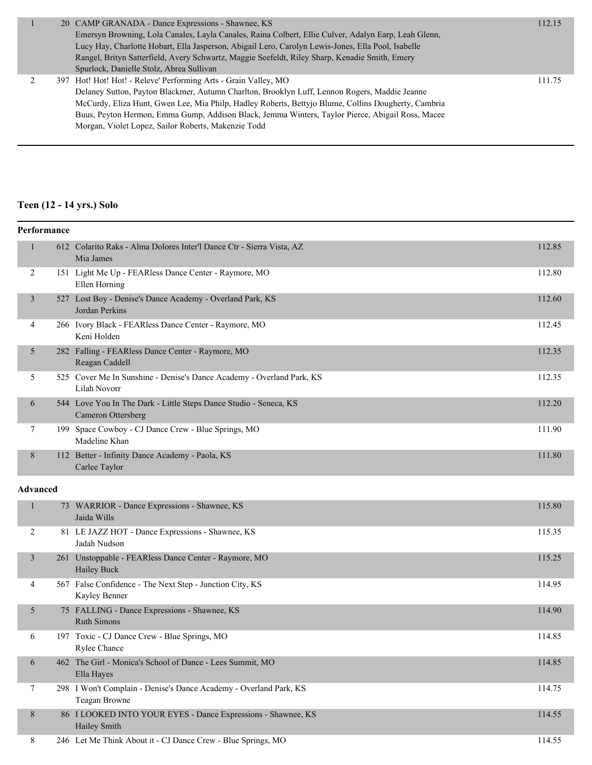|  | 20 CAMP GRANADA - Dance Expressions - Shawnee, KS                                                    | 112.15 |
|--|------------------------------------------------------------------------------------------------------|--------|
|  | Emersyn Browning, Lola Canales, Layla Canales, Raina Colbert, Ellie Culver, Adalyn Earp, Leah Glenn, |        |
|  | Lucy Hay, Charlotte Hobart, Ella Jasperson, Abigail Lero, Carolyn Lewis-Jones, Ella Pool, Isabelle   |        |
|  | Rangel, Brityn Satterfield, Avery Schwartz, Maggie Seefeldt, Riley Sharp, Kenadie Smith, Emery       |        |
|  | Spurlock, Danielle Stolz, Abrea Sullivan                                                             |        |
|  | 397 Hot! Hot! Hot! - Releve' Performing Arts - Grain Valley, MO                                      | 111.75 |
|  | Delaney Sutton, Payton Blackmer, Autumn Charlton, Brooklyn Luff, Lennon Rogers, Maddie Jeanne        |        |
|  | McCurdy, Eliza Hunt, Gwen Lee, Mia Philp, Hadley Roberts, Bettyjo Blume, Collins Dougherty, Cambria  |        |
|  | Buus, Peyton Hermon, Emma Gump, Addison Black, Jemma Winters, Taylor Pierce, Abigail Ross, Macee     |        |
|  | Morgan, Violet Lopez, Sailor Roberts, Makenzie Todd                                                  |        |
|  |                                                                                                      |        |

# **Teen (12 - 14 yrs.) Solo**

| Performance     |              |                                                                                         |        |  |
|-----------------|--------------|-----------------------------------------------------------------------------------------|--------|--|
|                 | 1            | 612 Colarito Raks - Alma Dolores Inter'l Dance Ctr - Sierra Vista, AZ<br>Mia James      | 112.85 |  |
|                 | 2            | 151 Light Me Up - FEARless Dance Center - Raymore, MO<br>Ellen Horning                  | 112.80 |  |
|                 | 3            | 527 Lost Boy - Denise's Dance Academy - Overland Park, KS<br>Jordan Perkins             | 112.60 |  |
|                 | 4            | 266 Ivory Black - FEARless Dance Center - Raymore, MO<br>Keni Holden                    | 112.45 |  |
|                 | 5            | 282 Falling - FEARless Dance Center - Raymore, MO<br>Reagan Caddell                     | 112.35 |  |
|                 | 5            | 525 Cover Me In Sunshine - Denise's Dance Academy - Overland Park, KS<br>Lilah Novorr   | 112.35 |  |
|                 | 6            | 544 Love You In The Dark - Little Steps Dance Studio - Seneca, KS<br>Cameron Ottersberg | 112.20 |  |
|                 | 7            | 199 Space Cowboy - CJ Dance Crew - Blue Springs, MO<br>Madeline Khan                    | 111.90 |  |
|                 | 8            | 112 Better - Infinity Dance Academy - Paola, KS<br>Carlee Taylor                        | 111.80 |  |
| <b>Advanced</b> |              |                                                                                         |        |  |
|                 | $\mathbf{1}$ | 73 WARRIOR - Dance Expressions - Shawnee, KS<br>Jaida Wills                             | 115.80 |  |
|                 | 2            | 81 LE JAZZ HOT - Dance Expressions - Shawnee, KS<br>Jadah Nudson                        | 115.35 |  |
|                 | 3            | 261 Unstoppable - FEARless Dance Center - Raymore, MO<br>Hailey Buck                    | 115.25 |  |
|                 | 4            | 567 False Confidence - The Next Step - Junction City, KS<br>Kayley Benner               | 114.95 |  |
|                 | 5            | 75 FALLING - Dance Expressions - Shawnee, KS<br><b>Ruth Simons</b>                      | 114.90 |  |
|                 | 6            | 197 Toxic - CJ Dance Crew - Blue Springs, MO<br>Rylee Chance                            | 114.85 |  |
|                 | 6            | 462 The Girl - Monica's School of Dance - Lees Summit, MO<br>Ella Hayes                 | 114.85 |  |
|                 | $\tau$       | 298 I Won't Complain - Denise's Dance Academy - Overland Park, KS<br>Teagan Browne      | 114.75 |  |
|                 | 8            | 86 I LOOKED INTO YOUR EYES - Dance Expressions - Shawnee, KS<br>Hailey Smith            | 114.55 |  |
|                 | 8            | 246 Let Me Think About it - CJ Dance Crew - Blue Springs, MO                            | 114.55 |  |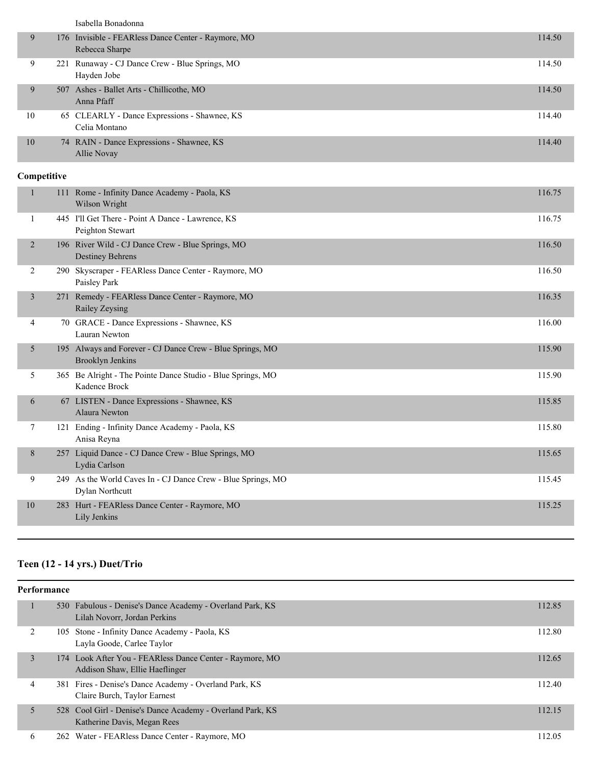Isabella Bonadonna

| 9  | 176 Invisible - FEARless Dance Center - Raymore, MO<br>Rebecca Sharpe | 114.50 |
|----|-----------------------------------------------------------------------|--------|
| 9  | 221 Runaway - CJ Dance Crew - Blue Springs, MO<br>Hayden Jobe         | 114.50 |
| 9  | 507 Ashes - Ballet Arts - Chillicothe, MO<br>Anna Pfaff               | 114.50 |
| 10 | 65 CLEARLY - Dance Expressions - Shawnee, KS<br>Celia Montano         | 114.40 |
| 10 | 74 RAIN - Dance Expressions - Shawnee, KS<br>Allie Novay              | 114.40 |

#### **Competitive**

| 10             |     | 283 Hurt - FEARless Dance Center - Raymore, MO<br>Lily Jenkins                       | 115.25 |
|----------------|-----|--------------------------------------------------------------------------------------|--------|
| 9              |     | 249 As the World Caves In - CJ Dance Crew - Blue Springs, MO<br>Dylan Northcutt      | 115.45 |
| 8              |     | 257 Liquid Dance - CJ Dance Crew - Blue Springs, MO<br>Lydia Carlson                 | 115.65 |
| 7              |     | 121 Ending - Infinity Dance Academy - Paola, KS<br>Anisa Reyna                       | 115.80 |
| 6              |     | 67 LISTEN - Dance Expressions - Shawnee, KS<br>Alaura Newton                         | 115.85 |
| 5              |     | 365 Be Alright - The Pointe Dance Studio - Blue Springs, MO<br>Kadence Brock         | 115.90 |
| 5              |     | 195 Always and Forever - CJ Dance Crew - Blue Springs, MO<br><b>Brooklyn Jenkins</b> | 115.90 |
| 4              |     | 70 GRACE - Dance Expressions - Shawnee, KS<br>Lauran Newton                          | 116.00 |
| 3              |     | 271 Remedy - FEARless Dance Center - Raymore, MO<br>Railey Zeysing                   | 116.35 |
| $\overline{2}$ | 290 | Skyscraper - FEARless Dance Center - Raymore, MO<br>Paisley Park                     | 116.50 |
| 2              |     | 196 River Wild - CJ Dance Crew - Blue Springs, MO<br><b>Destiney Behrens</b>         | 116.50 |
| 1              |     | 445 I'll Get There - Point A Dance - Lawrence, KS<br>Peighton Stewart                | 116.75 |
|                |     | 111 Rome - Infinity Dance Academy - Paola, KS<br>Wilson Wright                       | 116.75 |

# **Teen (12 - 14 yrs.) Duet/Trio**

| Performance |                                                                                            |        |
|-------------|--------------------------------------------------------------------------------------------|--------|
|             | 530 Fabulous - Denise's Dance Academy - Overland Park, KS<br>Lilah Novorr, Jordan Perkins  | 112.85 |
|             | 105 Stone - Infinity Dance Academy - Paola, KS<br>Layla Goode, Carlee Taylor               | 112.80 |
| 3           | 174 Look After You - FEARless Dance Center - Raymore, MO<br>Addison Shaw, Ellie Haeflinger | 112.65 |
| 4           | 381 Fires - Denise's Dance Academy - Overland Park, KS<br>Claire Burch, Taylor Earnest     | 112.40 |
| 5           | 528 Cool Girl - Denise's Dance Academy - Overland Park, KS<br>Katherine Davis, Megan Rees  | 112.15 |
| 6           | 262 Water - FEARless Dance Center - Raymore, MO                                            | 112.05 |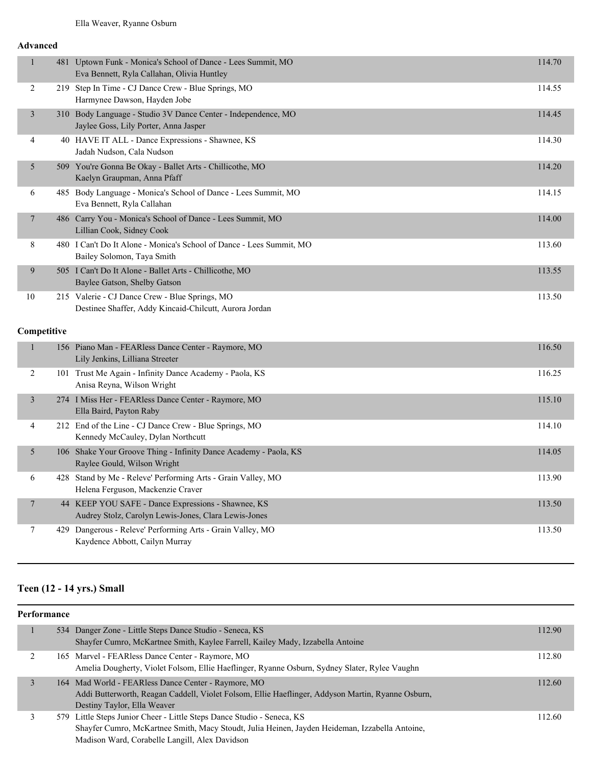#### **Advanced**

| $\mathbf{1}$            |             | 481 Uptown Funk - Monica's School of Dance - Lees Summit, MO<br>Eva Bennett, Ryla Callahan, Olivia Huntley | 114.70 |
|-------------------------|-------------|------------------------------------------------------------------------------------------------------------|--------|
| $\overline{2}$          |             | 219 Step In Time - CJ Dance Crew - Blue Springs, MO<br>Harmynee Dawson, Hayden Jobe                        | 114.55 |
| 3                       |             | 310 Body Language - Studio 3V Dance Center - Independence, MO<br>Jaylee Goss, Lily Porter, Anna Jasper     | 114.45 |
| 4                       |             | 40 HAVE IT ALL - Dance Expressions - Shawnee, KS<br>Jadah Nudson, Cala Nudson                              | 114.30 |
| 5                       |             | 509 You're Gonna Be Okay - Ballet Arts - Chillicothe, MO<br>Kaelyn Graupman, Anna Pfaff                    | 114.20 |
| 6                       |             | 485 Body Language - Monica's School of Dance - Lees Summit, MO<br>Eva Bennett, Ryla Callahan               | 114.15 |
| 7                       |             | 486 Carry You - Monica's School of Dance - Lees Summit, MO<br>Lillian Cook, Sidney Cook                    | 114.00 |
| 8                       |             | 480 I Can't Do It Alone - Monica's School of Dance - Lees Summit, MO<br>Bailey Solomon, Taya Smith         | 113.60 |
| 9                       |             | 505 I Can't Do It Alone - Ballet Arts - Chillicothe, MO<br>Baylee Gatson, Shelby Gatson                    | 113.55 |
| 10                      |             | 215 Valerie - CJ Dance Crew - Blue Springs, MO<br>Destinee Shaffer, Addy Kincaid-Chilcutt, Aurora Jordan   | 113.50 |
|                         | Competitive |                                                                                                            |        |
| $\mathbf{1}$            |             | 156 Piano Man - FEARless Dance Center - Raymore, MO<br>Lily Jenkins, Lilliana Streeter                     | 116.50 |
| 2                       |             | 101 Trust Me Again - Infinity Dance Academy - Paola, KS<br>Anisa Reyna, Wilson Wright                      | 116.25 |
| $\overline{\mathbf{3}}$ |             | 274 I Miss Her - FEARless Dance Center - Raymore, MO<br>Ella Baird, Payton Raby                            | 115.10 |
| 4                       |             | 212 End of the Line - CJ Dance Crew - Blue Springs, MO<br>Kennedy McCauley, Dylan Northcutt                | 114.10 |
| 5                       |             | 106 Shake Your Groove Thing - Infinity Dance Academy - Paola, KS<br>Raylee Gould, Wilson Wright            | 114.05 |
| 6                       |             | 428 Stand by Me - Releve' Performing Arts - Grain Valley, MO<br>Helena Ferguson, Mackenzie Craver          | 113.90 |
| 7                       |             | 44 KEEP YOU SAFE - Dance Expressions - Shawnee, KS<br>Audrey Stolz, Carolyn Lewis-Jones, Clara Lewis-Jones | 113.50 |
| 7                       |             | 429 Dangerous - Releve' Performing Arts - Grain Valley, MO<br>Kaydence Abbott, Cailyn Murray               | 113.50 |

#### **Teen (12 - 14 yrs.) Small**

| Performance |   |  |                                                                                                   |        |
|-------------|---|--|---------------------------------------------------------------------------------------------------|--------|
|             |   |  | 534 Danger Zone - Little Steps Dance Studio - Seneca, KS                                          | 112.90 |
|             |   |  | Shayfer Cumro, McKartnee Smith, Kaylee Farrell, Kailey Mady, Izzabella Antoine                    |        |
|             | 2 |  | 165 Marvel - FEARless Dance Center - Raymore, MO                                                  | 112.80 |
|             |   |  | Amelia Dougherty, Violet Folsom, Ellie Haeflinger, Ryanne Osburn, Sydney Slater, Rylee Vaughn     |        |
|             | 3 |  | 164 Mad World - FEARless Dance Center - Raymore, MO                                               | 112.60 |
|             |   |  | Addi Butterworth, Reagan Caddell, Violet Folsom, Ellie Haeflinger, Addyson Martin, Ryanne Osburn, |        |
|             |   |  | Destiny Taylor, Ella Weaver                                                                       |        |
|             |   |  | 579 Little Steps Junior Cheer - Little Steps Dance Studio - Seneca, KS                            | 112.60 |
|             |   |  | Shayfer Cumro, McKartnee Smith, Macy Stoudt, Julia Heinen, Jayden Heideman, Izzabella Antoine,    |        |
|             |   |  | Madison Ward, Corabelle Langill, Alex Davidson                                                    |        |
|             |   |  |                                                                                                   |        |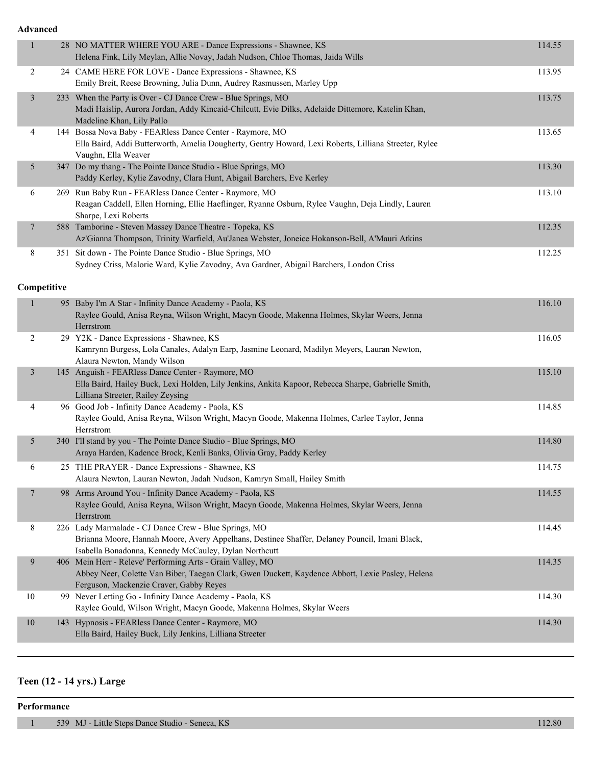**Advanced**

| $\mathbf{1}$   |             | 28 NO MATTER WHERE YOU ARE - Dance Expressions - Shawnee, KS<br>Helena Fink, Lily Meylan, Allie Novay, Jadah Nudson, Chloe Thomas, Jaida Wills                                                                  | 114.55 |
|----------------|-------------|-----------------------------------------------------------------------------------------------------------------------------------------------------------------------------------------------------------------|--------|
| 2              |             | 24 CAME HERE FOR LOVE - Dance Expressions - Shawnee, KS                                                                                                                                                         | 113.95 |
|                |             | Emily Breit, Reese Browning, Julia Dunn, Audrey Rasmussen, Marley Upp                                                                                                                                           |        |
| $\mathfrak{Z}$ |             | 233 When the Party is Over - CJ Dance Crew - Blue Springs, MO<br>Madi Haislip, Aurora Jordan, Addy Kincaid-Chilcutt, Evie Dilks, Adelaide Dittemore, Katelin Khan,<br>Madeline Khan, Lily Pallo                 | 113.75 |
| 4              |             | 144 Bossa Nova Baby - FEARless Dance Center - Raymore, MO<br>Ella Baird, Addi Butterworth, Amelia Dougherty, Gentry Howard, Lexi Roberts, Lilliana Streeter, Rylee<br>Vaughn, Ella Weaver                       | 113.65 |
| 5              |             | 347 Do my thang - The Pointe Dance Studio - Blue Springs, MO<br>Paddy Kerley, Kylie Zavodny, Clara Hunt, Abigail Barchers, Eve Kerley                                                                           | 113.30 |
| 6              |             | 269 Run Baby Run - FEARless Dance Center - Raymore, MO<br>Reagan Caddell, Ellen Horning, Ellie Haeflinger, Ryanne Osburn, Rylee Vaughn, Deja Lindly, Lauren<br>Sharpe, Lexi Roberts                             | 113.10 |
| 7              |             | 588 Tamborine - Steven Massey Dance Theatre - Topeka, KS<br>Az'Gianna Thompson, Trinity Warfield, Au'Janea Webster, Joneice Hokanson-Bell, A'Mauri Atkins                                                       | 112.35 |
| 8              |             | 351 Sit down - The Pointe Dance Studio - Blue Springs, MO<br>Sydney Criss, Malorie Ward, Kylie Zavodny, Ava Gardner, Abigail Barchers, London Criss                                                             | 112.25 |
|                | Competitive |                                                                                                                                                                                                                 |        |
| $\mathbf{1}$   |             | 95 Baby I'm A Star - Infinity Dance Academy - Paola, KS<br>Raylee Gould, Anisa Reyna, Wilson Wright, Macyn Goode, Makenna Holmes, Skylar Weers, Jenna<br>Herrstrom                                              | 116.10 |
| 2              |             | 29 Y2K - Dance Expressions - Shawnee, KS<br>Kamrynn Burgess, Lola Canales, Adalyn Earp, Jasmine Leonard, Madilyn Meyers, Lauran Newton,<br>Alaura Newton, Mandy Wilson                                          | 116.05 |
| $\mathfrak{Z}$ |             | 145 Anguish - FEARless Dance Center - Raymore, MO<br>Ella Baird, Hailey Buck, Lexi Holden, Lily Jenkins, Ankita Kapoor, Rebecca Sharpe, Gabrielle Smith,<br>Lilliana Streeter, Railey Zeysing                   | 115.10 |
| 4              |             | 96 Good Job - Infinity Dance Academy - Paola, KS<br>Raylee Gould, Anisa Reyna, Wilson Wright, Macyn Goode, Makenna Holmes, Carlee Taylor, Jenna<br>Herrstrom                                                    | 114.85 |
| 5              |             | 340 I'll stand by you - The Pointe Dance Studio - Blue Springs, MO<br>Araya Harden, Kadence Brock, Kenli Banks, Olivia Gray, Paddy Kerley                                                                       | 114.80 |
| 6              |             | 25 THE PRAYER - Dance Expressions - Shawnee, KS<br>Alaura Newton, Lauran Newton, Jadah Nudson, Kamryn Small, Hailey Smith                                                                                       | 114.75 |
| 7              |             | 98 Arms Around You - Infinity Dance Academy - Paola, KS<br>Raylee Gould, Anisa Reyna, Wilson Wright, Macyn Goode, Makenna Holmes, Skylar Weers, Jenna<br>Herrstrom                                              | 114.55 |
| 8              |             | 226 Lady Marmalade - CJ Dance Crew - Blue Springs, MO<br>Brianna Moore, Hannah Moore, Avery Appelhans, Destinee Shaffer, Delaney Pouncil, Imani Black,<br>Isabella Bonadonna, Kennedy McCauley, Dylan Northcutt | 114.45 |
| 9              |             | 406 Mein Herr - Releve' Performing Arts - Grain Valley, MO<br>Abbey Neer, Colette Van Biber, Taegan Clark, Gwen Duckett, Kaydence Abbott, Lexie Pasley, Helena<br>Ferguson, Mackenzie Craver, Gabby Reyes       | 114.35 |
| 10             |             | 99 Never Letting Go - Infinity Dance Academy - Paola, KS<br>Raylee Gould, Wilson Wright, Macyn Goode, Makenna Holmes, Skylar Weers                                                                              | 114.30 |
| 10             |             | 143 Hypnosis - FEARless Dance Center - Raymore, MO<br>Ella Baird, Hailey Buck, Lily Jenkins, Lilliana Streeter                                                                                                  | 114.30 |
|                |             |                                                                                                                                                                                                                 |        |

# **Teen (12 - 14 yrs.) Large**

#### **Performance**

T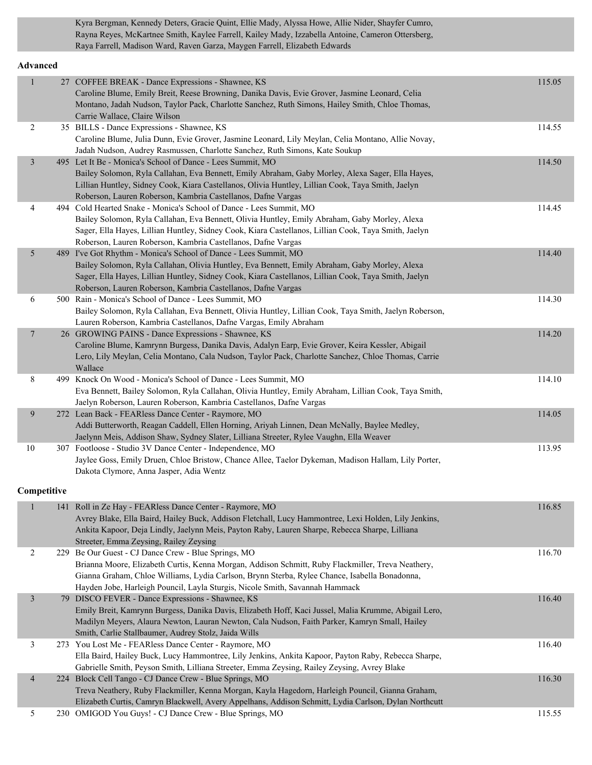Kyra Bergman, Kennedy Deters, Gracie Quint, Ellie Mady, Alyssa Howe, Allie Nider, Shayfer Cumro, Rayna Reyes, McKartnee Smith, Kaylee Farrell, Kailey Mady, Izzabella Antoine, Cameron Ottersberg, Raya Farrell, Madison Ward, Raven Garza, Maygen Farrell, Elizabeth Edwards

#### **Advanced**

| $\mathbf{1}$            | 27 COFFEE BREAK - Dance Expressions - Shawnee, KS                                                                                                                                                      | 115.05 |
|-------------------------|--------------------------------------------------------------------------------------------------------------------------------------------------------------------------------------------------------|--------|
|                         | Caroline Blume, Emily Breit, Reese Browning, Danika Davis, Evie Grover, Jasmine Leonard, Celia                                                                                                         |        |
|                         | Montano, Jadah Nudson, Taylor Pack, Charlotte Sanchez, Ruth Simons, Hailey Smith, Chloe Thomas,                                                                                                        |        |
|                         | Carrie Wallace, Claire Wilson                                                                                                                                                                          |        |
| 2                       | 35 BILLS - Dance Expressions - Shawnee, KS<br>Caroline Blume, Julia Dunn, Evie Grover, Jasmine Leonard, Lily Meylan, Celia Montano, Allie Novay,                                                       | 114.55 |
|                         | Jadah Nudson, Audrey Rasmussen, Charlotte Sanchez, Ruth Simons, Kate Soukup                                                                                                                            |        |
| $\mathfrak{Z}$          | 495 Let It Be - Monica's School of Dance - Lees Summit, MO                                                                                                                                             | 114.50 |
|                         | Bailey Solomon, Ryla Callahan, Eva Bennett, Emily Abraham, Gaby Morley, Alexa Sager, Ella Hayes,                                                                                                       |        |
|                         | Lillian Huntley, Sidney Cook, Kiara Castellanos, Olivia Huntley, Lillian Cook, Taya Smith, Jaelyn                                                                                                      |        |
|                         | Roberson, Lauren Roberson, Kambria Castellanos, Dafne Vargas                                                                                                                                           |        |
| 4                       | 494 Cold Hearted Snake - Monica's School of Dance - Lees Summit, MO                                                                                                                                    | 114.45 |
|                         | Bailey Solomon, Ryla Callahan, Eva Bennett, Olivia Huntley, Emily Abraham, Gaby Morley, Alexa                                                                                                          |        |
|                         | Sager, Ella Hayes, Lillian Huntley, Sidney Cook, Kiara Castellanos, Lillian Cook, Taya Smith, Jaelyn                                                                                                   |        |
|                         | Roberson, Lauren Roberson, Kambria Castellanos, Dafne Vargas                                                                                                                                           |        |
| 5                       | 489 I've Got Rhythm - Monica's School of Dance - Lees Summit, MO                                                                                                                                       | 114.40 |
|                         | Bailey Solomon, Ryla Callahan, Olivia Huntley, Eva Bennett, Emily Abraham, Gaby Morley, Alexa                                                                                                          |        |
|                         | Sager, Ella Hayes, Lillian Huntley, Sidney Cook, Kiara Castellanos, Lillian Cook, Taya Smith, Jaelyn                                                                                                   |        |
|                         | Roberson, Lauren Roberson, Kambria Castellanos, Dafne Vargas                                                                                                                                           |        |
| 6                       | 500 Rain - Monica's School of Dance - Lees Summit, MO                                                                                                                                                  | 114.30 |
|                         | Bailey Solomon, Ryla Callahan, Eva Bennett, Olivia Huntley, Lillian Cook, Taya Smith, Jaelyn Roberson,                                                                                                 |        |
|                         | Lauren Roberson, Kambria Castellanos, Dafne Vargas, Emily Abraham                                                                                                                                      |        |
| $\overline{7}$          | 26 GROWING PAINS - Dance Expressions - Shawnee, KS                                                                                                                                                     | 114.20 |
|                         | Caroline Blume, Kamrynn Burgess, Danika Davis, Adalyn Earp, Evie Grover, Keira Kessler, Abigail<br>Lero, Lily Meylan, Celia Montano, Cala Nudson, Taylor Pack, Charlotte Sanchez, Chloe Thomas, Carrie |        |
|                         | Wallace                                                                                                                                                                                                |        |
| 8                       | 499 Knock On Wood - Monica's School of Dance - Lees Summit, MO                                                                                                                                         | 114.10 |
|                         | Eva Bennett, Bailey Solomon, Ryla Callahan, Olivia Huntley, Emily Abraham, Lillian Cook, Taya Smith,                                                                                                   |        |
|                         | Jaelyn Roberson, Lauren Roberson, Kambria Castellanos, Dafne Vargas                                                                                                                                    |        |
| 9                       | 272 Lean Back - FEARless Dance Center - Raymore, MO                                                                                                                                                    | 114.05 |
|                         | Addi Butterworth, Reagan Caddell, Ellen Horning, Ariyah Linnen, Dean McNally, Baylee Medley,                                                                                                           |        |
|                         | Jaelynn Meis, Addison Shaw, Sydney Slater, Lilliana Streeter, Rylee Vaughn, Ella Weaver                                                                                                                |        |
| 10                      | 307 Footloose - Studio 3V Dance Center - Independence, MO                                                                                                                                              | 113.95 |
|                         | Jaylee Goss, Emily Druen, Chloe Bristow, Chance Allee, Taelor Dykeman, Madison Hallam, Lily Porter,                                                                                                    |        |
|                         | Dakota Clymore, Anna Jasper, Adia Wentz                                                                                                                                                                |        |
| Competitive             |                                                                                                                                                                                                        |        |
|                         |                                                                                                                                                                                                        |        |
| $\mathbf{1}$            | 141 Roll in Ze Hay - FEARless Dance Center - Raymore, MO                                                                                                                                               | 116.85 |
|                         | Avrey Blake, Ella Baird, Hailey Buck, Addison Fletchall, Lucy Hammontree, Lexi Holden, Lily Jenkins,                                                                                                   |        |
|                         | Ankita Kapoor, Deja Lindly, Jaelynn Meis, Payton Raby, Lauren Sharpe, Rebecca Sharpe, Lilliana                                                                                                         |        |
|                         | Streeter, Emma Zeysing, Railey Zeysing<br>229 Be Our Guest - CJ Dance Crew - Blue Springs, MO                                                                                                          |        |
| 2                       | Brianna Moore, Elizabeth Curtis, Kenna Morgan, Addison Schmitt, Ruby Flackmiller, Treva Neathery,                                                                                                      | 116.70 |
|                         | Gianna Graham, Chloe Williams, Lydia Carlson, Brynn Sterba, Rylee Chance, Isabella Bonadonna,                                                                                                          |        |
|                         | Hayden Jobe, Harleigh Pouncil, Layla Sturgis, Nicole Smith, Savannah Hammack                                                                                                                           |        |
| $\overline{\mathbf{3}}$ | 79 DISCO FEVER - Dance Expressions - Shawnee, KS                                                                                                                                                       | 116.40 |
|                         | Emily Breit, Kamrynn Burgess, Danika Davis, Elizabeth Hoff, Kaci Jussel, Malia Krumme, Abigail Lero,                                                                                                   |        |
|                         | Madilyn Meyers, Alaura Newton, Lauran Newton, Cala Nudson, Faith Parker, Kamryn Small, Hailey                                                                                                          |        |
|                         | Smith, Carlie Stallbaumer, Audrey Stolz, Jaida Wills                                                                                                                                                   |        |
| 3                       | 273 You Lost Me - FEARless Dance Center - Raymore, MO                                                                                                                                                  | 116.40 |
|                         | Ella Baird, Hailey Buck, Lucy Hammontree, Lily Jenkins, Ankita Kapoor, Payton Raby, Rebecca Sharpe,                                                                                                    |        |
|                         | Gabrielle Smith, Peyson Smith, Lilliana Streeter, Emma Zeysing, Railey Zeysing, Avrey Blake                                                                                                            |        |
| 4                       | 224 Block Cell Tango - CJ Dance Crew - Blue Springs, MO                                                                                                                                                | 116.30 |
|                         | Treva Neathery, Ruby Flackmiller, Kenna Morgan, Kayla Hagedorn, Harleigh Pouncil, Gianna Graham,                                                                                                       |        |
|                         | Elizabeth Curtis, Camryn Blackwell, Avery Appelhans, Addison Schmitt, Lydia Carlson, Dylan Northcutt                                                                                                   |        |

5 230 OMIGOD You Guys! - CJ Dance Crew - Blue Springs, MO 115.55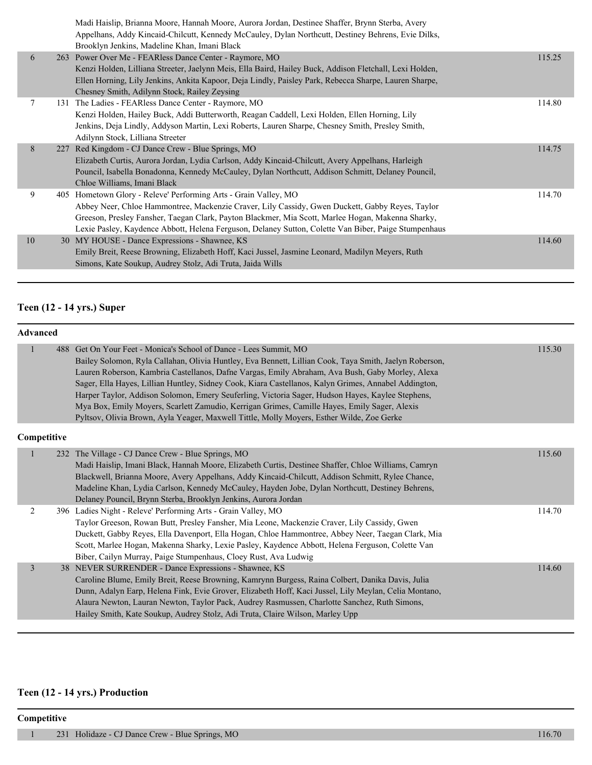|    | Madi Haislip, Brianna Moore, Hannah Moore, Aurora Jordan, Destinee Shaffer, Brynn Sterba, Avery<br>Appelhans, Addy Kincaid-Chilcutt, Kennedy McCauley, Dylan Northcutt, Destiney Behrens, Evie Dilks,<br>Brooklyn Jenkins, Madeline Khan, Imani Black                                                                                                                           |        |
|----|---------------------------------------------------------------------------------------------------------------------------------------------------------------------------------------------------------------------------------------------------------------------------------------------------------------------------------------------------------------------------------|--------|
| 6  | 263 Power Over Me - FEARless Dance Center - Raymore, MO<br>Kenzi Holden, Lilliana Streeter, Jaelynn Meis, Ella Baird, Hailey Buck, Addison Fletchall, Lexi Holden,<br>Ellen Horning, Lily Jenkins, Ankita Kapoor, Deja Lindly, Paisley Park, Rebecca Sharpe, Lauren Sharpe,<br>Chesney Smith, Adilynn Stock, Railey Zeysing                                                     | 115.25 |
| 7  | 131 The Ladies - FEARless Dance Center - Raymore, MO<br>Kenzi Holden, Hailey Buck, Addi Butterworth, Reagan Caddell, Lexi Holden, Ellen Horning, Lily<br>Jenkins, Deja Lindly, Addyson Martin, Lexi Roberts, Lauren Sharpe, Chesney Smith, Presley Smith,<br>Adilynn Stock, Lilliana Streeter                                                                                   | 114.80 |
| 8  | 227 Red Kingdom - CJ Dance Crew - Blue Springs, MO<br>Elizabeth Curtis, Aurora Jordan, Lydia Carlson, Addy Kincaid-Chilcutt, Avery Appelhans, Harleigh<br>Pouncil, Isabella Bonadonna, Kennedy McCauley, Dylan Northcutt, Addison Schmitt, Delaney Pouncil,<br>Chloe Williams, Imani Black                                                                                      | 114.75 |
| 9  | 405 Hometown Glory - Releve' Performing Arts - Grain Valley, MO<br>Abbey Neer, Chloe Hammontree, Mackenzie Craver, Lily Cassidy, Gwen Duckett, Gabby Reyes, Taylor<br>Greeson, Presley Fansher, Taegan Clark, Payton Blackmer, Mia Scott, Marlee Hogan, Makenna Sharky,<br>Lexie Pasley, Kaydence Abbott, Helena Ferguson, Delaney Sutton, Colette Van Biber, Paige Stumpenhaus | 114.70 |
| 10 | 30 MY HOUSE - Dance Expressions - Shawnee, KS<br>Emily Breit, Reese Browning, Elizabeth Hoff, Kaci Jussel, Jasmine Leonard, Madilyn Meyers, Ruth<br>Simons, Kate Soukup, Audrey Stolz, Adi Truta, Jaida Wills                                                                                                                                                                   | 114.60 |
|    |                                                                                                                                                                                                                                                                                                                                                                                 |        |

#### **Teen (12 - 14 yrs.) Super**

| <b>Advanced</b> |  |                                                                                                                                                                                                                                                                                                                                                                                                                                                                                                                                                                                                                                                                                         |        |
|-----------------|--|-----------------------------------------------------------------------------------------------------------------------------------------------------------------------------------------------------------------------------------------------------------------------------------------------------------------------------------------------------------------------------------------------------------------------------------------------------------------------------------------------------------------------------------------------------------------------------------------------------------------------------------------------------------------------------------------|--------|
| 1               |  | 488 Get On Your Feet - Monica's School of Dance - Lees Summit, MO<br>Bailey Solomon, Ryla Callahan, Olivia Huntley, Eva Bennett, Lillian Cook, Taya Smith, Jaelyn Roberson,<br>Lauren Roberson, Kambria Castellanos, Dafne Vargas, Emily Abraham, Ava Bush, Gaby Morley, Alexa<br>Sager, Ella Hayes, Lillian Huntley, Sidney Cook, Kiara Castellanos, Kalyn Grimes, Annabel Addington,<br>Harper Taylor, Addison Solomon, Emery Seuferling, Victoria Sager, Hudson Hayes, Kaylee Stephens,<br>Mya Box, Emily Moyers, Scarlett Zamudio, Kerrigan Grimes, Camille Hayes, Emily Sager, Alexis<br>Pyltsov, Olivia Brown, Ayla Yeager, Maxwell Tittle, Molly Moyers, Esther Wilde, Zoe Gerke | 115.30 |
| Competitive     |  |                                                                                                                                                                                                                                                                                                                                                                                                                                                                                                                                                                                                                                                                                         |        |
|                 |  | 232 The Village - CJ Dance Crew - Blue Springs, MO<br>Madi Haislip, Imani Black, Hannah Moore, Elizabeth Curtis, Destinee Shaffer, Chloe Williams, Camryn<br>Blackwell, Brianna Moore, Avery Appelhans, Addy Kincaid-Chilcutt, Addison Schmitt, Rylee Chance,<br>Madeline Khan, Lydia Carlson, Kennedy McCauley, Hayden Jobe, Dylan Northcutt, Destiney Behrens,<br>Delaney Pouncil, Brynn Sterba, Brooklyn Jenkins, Aurora Jordan                                                                                                                                                                                                                                                      | 115.60 |
| 2               |  | 396 Ladies Night - Releve' Performing Arts - Grain Valley, MO<br>Taylor Greeson, Rowan Butt, Presley Fansher, Mia Leone, Mackenzie Craver, Lily Cassidy, Gwen<br>Duckett, Gabby Reyes, Ella Davenport, Ella Hogan, Chloe Hammontree, Abbey Neer, Taegan Clark, Mia<br>Scott, Marlee Hogan, Makenna Sharky, Lexie Pasley, Kaydence Abbott, Helena Ferguson, Colette Van<br>Biber, Cailyn Murray, Paige Stumpenhaus, Cloey Rust, Ava Ludwig                                                                                                                                                                                                                                               | 114.70 |
| 3               |  | 38 NEVER SURRENDER - Dance Expressions - Shawnee, KS<br>Caroline Blume, Emily Breit, Reese Browning, Kamrynn Burgess, Raina Colbert, Danika Davis, Julia<br>Dunn, Adalyn Earp, Helena Fink, Evie Grover, Elizabeth Hoff, Kaci Jussel, Lily Meylan, Celia Montano,<br>Alaura Newton, Lauran Newton, Taylor Pack, Audrey Rasmussen, Charlotte Sanchez, Ruth Simons,<br>Hailey Smith, Kate Soukup, Audrey Stolz, Adi Truta, Claire Wilson, Marley Upp                                                                                                                                                                                                                                      | 114.60 |

# **Teen (12 - 14 yrs.) Production**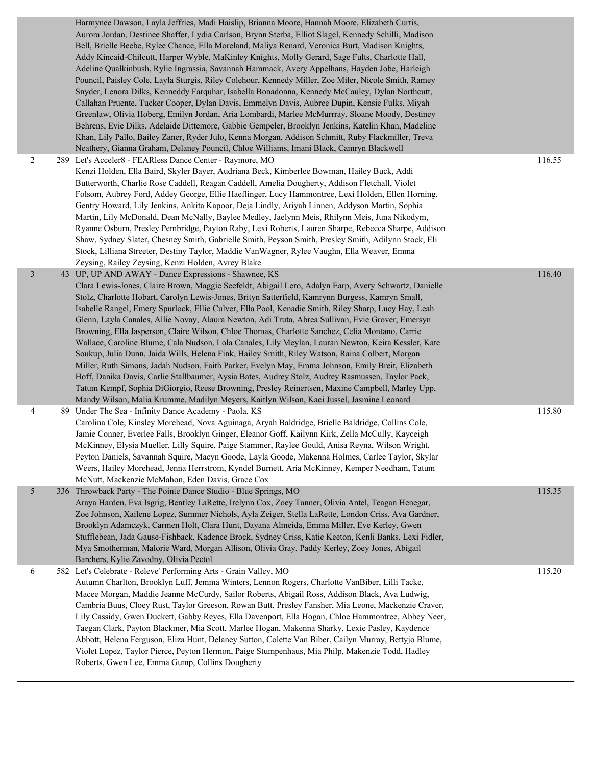|   | Harmynee Dawson, Layla Jeffries, Madi Haislip, Brianna Moore, Hannah Moore, Elizabeth Curtis,<br>Aurora Jordan, Destinee Shaffer, Lydia Carlson, Brynn Sterba, Elliot Slagel, Kennedy Schilli, Madison<br>Bell, Brielle Beebe, Rylee Chance, Ella Moreland, Maliya Renard, Veronica Burt, Madison Knights,<br>Addy Kincaid-Chilcutt, Harper Wyble, MaKinley Knights, Molly Gerard, Sage Fults, Charlotte Hall,<br>Adeline Qualkinbush, Rylie Ingrassia, Savannah Hammack, Avery Appelhans, Hayden Jobe, Harleigh<br>Pouncil, Paisley Cole, Layla Sturgis, Riley Colehour, Kennedy Miller, Zoe Miler, Nicole Smith, Ramey<br>Snyder, Lenora Dilks, Kenneddy Farquhar, Isabella Bonadonna, Kennedy McCauley, Dylan Northcutt,<br>Callahan Pruente, Tucker Cooper, Dylan Davis, Emmelyn Davis, Aubree Dupin, Kensie Fulks, Miyah<br>Greenlaw, Olivia Hoberg, Emilyn Jordan, Aria Lombardi, Marlee McMurrray, Sloane Moody, Destiney<br>Behrens, Evie Dilks, Adelaide Dittemore, Gabbie Gempeler, Brooklyn Jenkins, Katelin Khan, Madeline<br>Khan, Lily Pallo, Bailey Zaner, Ryder Julo, Kenna Morgan, Addison Schmitt, Ruby Flackmiller, Treva<br>Neathery, Gianna Graham, Delaney Pouncil, Chloe Williams, Imani Black, Camryn Blackwell |        |
|---|-----------------------------------------------------------------------------------------------------------------------------------------------------------------------------------------------------------------------------------------------------------------------------------------------------------------------------------------------------------------------------------------------------------------------------------------------------------------------------------------------------------------------------------------------------------------------------------------------------------------------------------------------------------------------------------------------------------------------------------------------------------------------------------------------------------------------------------------------------------------------------------------------------------------------------------------------------------------------------------------------------------------------------------------------------------------------------------------------------------------------------------------------------------------------------------------------------------------------------------------|--------|
| 2 | 289 Let's Acceler8 - FEARless Dance Center - Raymore, MO<br>Kenzi Holden, Ella Baird, Skyler Bayer, Audriana Beck, Kimberlee Bowman, Hailey Buck, Addi<br>Butterworth, Charlie Rose Caddell, Reagan Caddell, Amelia Dougherty, Addison Fletchall, Violet<br>Folsom, Aubrey Ford, Addey George, Ellie Haeflinger, Lucy Hammontree, Lexi Holden, Ellen Horning,<br>Gentry Howard, Lily Jenkins, Ankita Kapoor, Deja Lindly, Ariyah Linnen, Addyson Martin, Sophia<br>Martin, Lily McDonald, Dean McNally, Baylee Medley, Jaelynn Meis, Rhilynn Meis, Juna Nikodym,<br>Ryanne Osburn, Presley Pembridge, Payton Raby, Lexi Roberts, Lauren Sharpe, Rebecca Sharpe, Addison<br>Shaw, Sydney Slater, Chesney Smith, Gabrielle Smith, Peyson Smith, Presley Smith, Adilynn Stock, Eli<br>Stock, Lilliana Streeter, Destiny Taylor, Maddie VanWagner, Rylee Vaughn, Ella Weaver, Emma<br>Zeysing, Railey Zeysing, Kenzi Holden, Avrey Blake                                                                                                                                                                                                                                                                                                    | 116.55 |
| 3 | 43 UP, UP AND AWAY - Dance Expressions - Shawnee, KS<br>Clara Lewis-Jones, Claire Brown, Maggie Seefeldt, Abigail Lero, Adalyn Earp, Avery Schwartz, Danielle<br>Stolz, Charlotte Hobart, Carolyn Lewis-Jones, Brityn Satterfield, Kamrynn Burgess, Kamryn Small,<br>Isabelle Rangel, Emery Spurlock, Ellie Culver, Ella Pool, Kenadie Smith, Riley Sharp, Lucy Hay, Leah<br>Glenn, Layla Canales, Allie Novay, Alaura Newton, Adi Truta, Abrea Sullivan, Evie Grover, Emersyn<br>Browning, Ella Jasperson, Claire Wilson, Chloe Thomas, Charlotte Sanchez, Celia Montano, Carrie<br>Wallace, Caroline Blume, Cala Nudson, Lola Canales, Lily Meylan, Lauran Newton, Keira Kessler, Kate<br>Soukup, Julia Dunn, Jaida Wills, Helena Fink, Hailey Smith, Riley Watson, Raina Colbert, Morgan<br>Miller, Ruth Simons, Jadah Nudson, Faith Parker, Evelyn May, Emma Johnson, Emily Breit, Elizabeth<br>Hoff, Danika Davis, Carlie Stallbaumer, Aysia Bates, Audrey Stolz, Audrey Rasmussen, Taylor Pack,<br>Tatum Kempf, Sophia DiGiorgio, Reese Browning, Presley Reinertsen, Maxine Campbell, Marley Upp,<br>Mandy Wilson, Malia Krumme, Madilyn Meyers, Kaitlyn Wilson, Kaci Jussel, Jasmine Leonard                                    | 116.40 |
| 4 | 89 Under The Sea - Infinity Dance Academy - Paola, KS<br>Carolina Cole, Kinsley Morehead, Nova Aguinaga, Aryah Baldridge, Brielle Baldridge, Collins Cole,<br>Jamie Conner, Everlee Falls, Brooklyn Ginger, Eleanor Goff, Kailynn Kirk, Zella McCully, Kayceigh<br>McKinney, Elysia Mueller, Lilly Squire, Paige Stammer, Raylee Gould, Anisa Reyna, Wilson Wright,<br>Peyton Daniels, Savannah Squire, Macyn Goode, Layla Goode, Makenna Holmes, Carlee Taylor, Skylar<br>Weers, Hailey Morehead, Jenna Herrstrom, Kyndel Burnett, Aria McKinney, Kemper Needham, Tatum<br>McNutt, Mackenzie McMahon, Eden Davis, Grace Cox                                                                                                                                                                                                                                                                                                                                                                                                                                                                                                                                                                                                            | 115.80 |
| 5 | 336 Throwback Party - The Pointe Dance Studio - Blue Springs, MO<br>Araya Harden, Eva Isgrig, Bentley LaRette, Irelynn Cox, Zoey Tanner, Olivia Antel, Teagan Henegar,<br>Zoe Johnson, Xailene Lopez, Summer Nichols, Ayla Zeiger, Stella LaRette, London Criss, Ava Gardner,<br>Brooklyn Adamczyk, Carmen Holt, Clara Hunt, Dayana Almeida, Emma Miller, Eve Kerley, Gwen<br>Stufflebean, Jada Gause-Fishback, Kadence Brock, Sydney Criss, Katie Keeton, Kenli Banks, Lexi Fidler,<br>Mya Smotherman, Malorie Ward, Morgan Allison, Olivia Gray, Paddy Kerley, Zoey Jones, Abigail<br>Barchers, Kylie Zavodny, Olivia Pectol                                                                                                                                                                                                                                                                                                                                                                                                                                                                                                                                                                                                          | 115.35 |
| 6 | 582 Let's Celebrate - Releve' Performing Arts - Grain Valley, MO<br>Autumn Charlton, Brooklyn Luff, Jemma Winters, Lennon Rogers, Charlotte VanBiber, Lilli Tacke,<br>Macee Morgan, Maddie Jeanne McCurdy, Sailor Roberts, Abigail Ross, Addison Black, Ava Ludwig,<br>Cambria Buus, Cloey Rust, Taylor Greeson, Rowan Butt, Presley Fansher, Mia Leone, Mackenzie Craver,<br>Lily Cassidy, Gwen Duckett, Gabby Reyes, Ella Davenport, Ella Hogan, Chloe Hammontree, Abbey Neer,<br>Taegan Clark, Payton Blackmer, Mia Scott, Marlee Hogan, Makenna Sharky, Lexie Pasley, Kaydence<br>Abbott, Helena Ferguson, Eliza Hunt, Delaney Sutton, Colette Van Biber, Cailyn Murray, Bettyjo Blume,<br>Violet Lopez, Taylor Pierce, Peyton Hermon, Paige Stumpenhaus, Mia Philp, Makenzie Todd, Hadley<br>Roberts, Gwen Lee, Emma Gump, Collins Dougherty                                                                                                                                                                                                                                                                                                                                                                                       | 115.20 |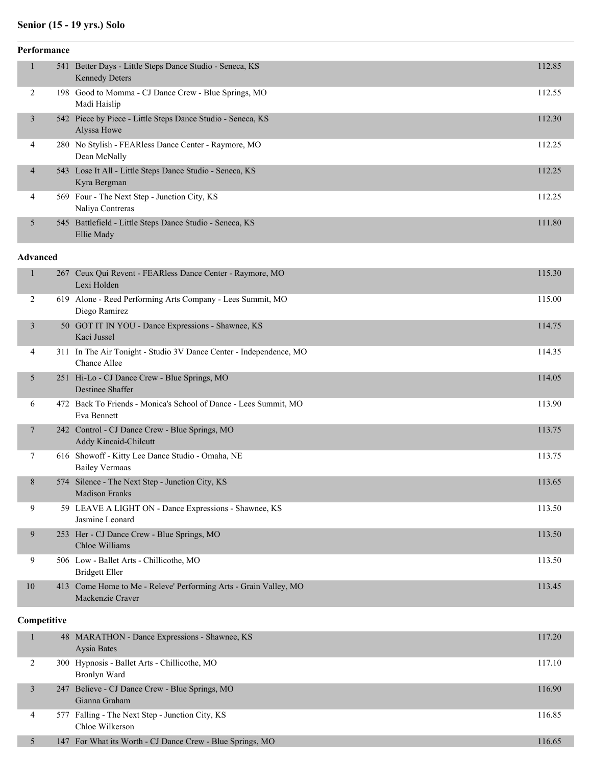# **Senior (15 - 19 yrs.) Solo**

| 541 Better Days - Little Steps Dance Studio - Seneca, KS<br>112.85<br>$\mathbf{1}$<br><b>Kennedy Deters</b><br>2<br>198 Good to Momma - CJ Dance Crew - Blue Springs, MO<br>112.55<br>Madi Haislip<br>542 Piece by Piece - Little Steps Dance Studio - Seneca, KS<br>112.30<br>3<br>Alyssa Howe<br>280 No Stylish - FEARless Dance Center - Raymore, MO<br>112.25<br>4<br>Dean McNally<br>543 Lose It All - Little Steps Dance Studio - Seneca, KS<br>112.25<br>4<br>Kyra Bergman<br>569 Four - The Next Step - Junction City, KS<br>112.25<br>4<br>Naliya Contreras<br>545 Battlefield - Little Steps Dance Studio - Seneca, KS<br>5<br>111.80<br>Ellie Mady<br><b>Advanced</b><br>$\mathbf{1}$<br>267 Ceux Qui Revent - FEARless Dance Center - Raymore, MO<br>115.30<br>Lexi Holden<br>2<br>619 Alone - Reed Performing Arts Company - Lees Summit, MO<br>115.00<br>Diego Ramirez<br>50 GOT IT IN YOU - Dance Expressions - Shawnee, KS<br>114.75<br>3<br>Kaci Jussel<br>311 In The Air Tonight - Studio 3V Dance Center - Independence, MO<br>114.35<br>4<br>Chance Allee<br>251 Hi-Lo - CJ Dance Crew - Blue Springs, MO<br>5<br>114.05<br>Destinee Shaffer<br>472 Back To Friends - Monica's School of Dance - Lees Summit, MO<br>113.90<br>6<br>Eva Bennett<br>242 Control - CJ Dance Crew - Blue Springs, MO<br>113.75<br>7<br><b>Addy Kincaid-Chilcutt</b><br>7<br>616 Showoff - Kitty Lee Dance Studio - Omaha, NE<br>113.75<br><b>Bailey Vermaas</b><br>$\,8$<br>574 Silence - The Next Step - Junction City, KS<br>113.65 |
|---------------------------------------------------------------------------------------------------------------------------------------------------------------------------------------------------------------------------------------------------------------------------------------------------------------------------------------------------------------------------------------------------------------------------------------------------------------------------------------------------------------------------------------------------------------------------------------------------------------------------------------------------------------------------------------------------------------------------------------------------------------------------------------------------------------------------------------------------------------------------------------------------------------------------------------------------------------------------------------------------------------------------------------------------------------------------------------------------------------------------------------------------------------------------------------------------------------------------------------------------------------------------------------------------------------------------------------------------------------------------------------------------------------------------------------------------------------------------------------------------------------------------------------|
|                                                                                                                                                                                                                                                                                                                                                                                                                                                                                                                                                                                                                                                                                                                                                                                                                                                                                                                                                                                                                                                                                                                                                                                                                                                                                                                                                                                                                                                                                                                                       |
|                                                                                                                                                                                                                                                                                                                                                                                                                                                                                                                                                                                                                                                                                                                                                                                                                                                                                                                                                                                                                                                                                                                                                                                                                                                                                                                                                                                                                                                                                                                                       |
|                                                                                                                                                                                                                                                                                                                                                                                                                                                                                                                                                                                                                                                                                                                                                                                                                                                                                                                                                                                                                                                                                                                                                                                                                                                                                                                                                                                                                                                                                                                                       |
|                                                                                                                                                                                                                                                                                                                                                                                                                                                                                                                                                                                                                                                                                                                                                                                                                                                                                                                                                                                                                                                                                                                                                                                                                                                                                                                                                                                                                                                                                                                                       |
|                                                                                                                                                                                                                                                                                                                                                                                                                                                                                                                                                                                                                                                                                                                                                                                                                                                                                                                                                                                                                                                                                                                                                                                                                                                                                                                                                                                                                                                                                                                                       |
|                                                                                                                                                                                                                                                                                                                                                                                                                                                                                                                                                                                                                                                                                                                                                                                                                                                                                                                                                                                                                                                                                                                                                                                                                                                                                                                                                                                                                                                                                                                                       |
|                                                                                                                                                                                                                                                                                                                                                                                                                                                                                                                                                                                                                                                                                                                                                                                                                                                                                                                                                                                                                                                                                                                                                                                                                                                                                                                                                                                                                                                                                                                                       |
|                                                                                                                                                                                                                                                                                                                                                                                                                                                                                                                                                                                                                                                                                                                                                                                                                                                                                                                                                                                                                                                                                                                                                                                                                                                                                                                                                                                                                                                                                                                                       |
|                                                                                                                                                                                                                                                                                                                                                                                                                                                                                                                                                                                                                                                                                                                                                                                                                                                                                                                                                                                                                                                                                                                                                                                                                                                                                                                                                                                                                                                                                                                                       |
|                                                                                                                                                                                                                                                                                                                                                                                                                                                                                                                                                                                                                                                                                                                                                                                                                                                                                                                                                                                                                                                                                                                                                                                                                                                                                                                                                                                                                                                                                                                                       |
|                                                                                                                                                                                                                                                                                                                                                                                                                                                                                                                                                                                                                                                                                                                                                                                                                                                                                                                                                                                                                                                                                                                                                                                                                                                                                                                                                                                                                                                                                                                                       |
|                                                                                                                                                                                                                                                                                                                                                                                                                                                                                                                                                                                                                                                                                                                                                                                                                                                                                                                                                                                                                                                                                                                                                                                                                                                                                                                                                                                                                                                                                                                                       |
|                                                                                                                                                                                                                                                                                                                                                                                                                                                                                                                                                                                                                                                                                                                                                                                                                                                                                                                                                                                                                                                                                                                                                                                                                                                                                                                                                                                                                                                                                                                                       |
|                                                                                                                                                                                                                                                                                                                                                                                                                                                                                                                                                                                                                                                                                                                                                                                                                                                                                                                                                                                                                                                                                                                                                                                                                                                                                                                                                                                                                                                                                                                                       |
|                                                                                                                                                                                                                                                                                                                                                                                                                                                                                                                                                                                                                                                                                                                                                                                                                                                                                                                                                                                                                                                                                                                                                                                                                                                                                                                                                                                                                                                                                                                                       |
|                                                                                                                                                                                                                                                                                                                                                                                                                                                                                                                                                                                                                                                                                                                                                                                                                                                                                                                                                                                                                                                                                                                                                                                                                                                                                                                                                                                                                                                                                                                                       |
| Madison Franks                                                                                                                                                                                                                                                                                                                                                                                                                                                                                                                                                                                                                                                                                                                                                                                                                                                                                                                                                                                                                                                                                                                                                                                                                                                                                                                                                                                                                                                                                                                        |
| 9<br>59 LEAVE A LIGHT ON - Dance Expressions - Shawnee, KS<br>113.50<br>Jasmine Leonard                                                                                                                                                                                                                                                                                                                                                                                                                                                                                                                                                                                                                                                                                                                                                                                                                                                                                                                                                                                                                                                                                                                                                                                                                                                                                                                                                                                                                                               |
| 253 Her - CJ Dance Crew - Blue Springs, MO<br>9<br>113.50<br>Chloe Williams                                                                                                                                                                                                                                                                                                                                                                                                                                                                                                                                                                                                                                                                                                                                                                                                                                                                                                                                                                                                                                                                                                                                                                                                                                                                                                                                                                                                                                                           |
| 9<br>506 Low - Ballet Arts - Chillicothe, MO<br>113.50<br><b>Bridgett Eller</b>                                                                                                                                                                                                                                                                                                                                                                                                                                                                                                                                                                                                                                                                                                                                                                                                                                                                                                                                                                                                                                                                                                                                                                                                                                                                                                                                                                                                                                                       |
| 10<br>413 Come Home to Me - Releve' Performing Arts - Grain Valley, MO<br>113.45<br>Mackenzie Craver                                                                                                                                                                                                                                                                                                                                                                                                                                                                                                                                                                                                                                                                                                                                                                                                                                                                                                                                                                                                                                                                                                                                                                                                                                                                                                                                                                                                                                  |

| Competitive |   |  |                                                                    |        |
|-------------|---|--|--------------------------------------------------------------------|--------|
|             |   |  | 48 MARATHON - Dance Expressions - Shawnee, KS<br>Aysia Bates       | 117.20 |
|             |   |  | 300 Hypnosis - Ballet Arts - Chillicothe, MO<br>Bronlyn Ward       | 117.10 |
|             | 3 |  | 247 Believe - CJ Dance Crew - Blue Springs, MO<br>Gianna Graham    | 116.90 |
|             | 4 |  | 577 Falling - The Next Step - Junction City, KS<br>Chloe Wilkerson | 116.85 |
|             | 5 |  | 147 For What its Worth - CJ Dance Crew - Blue Springs, MO          | 116.65 |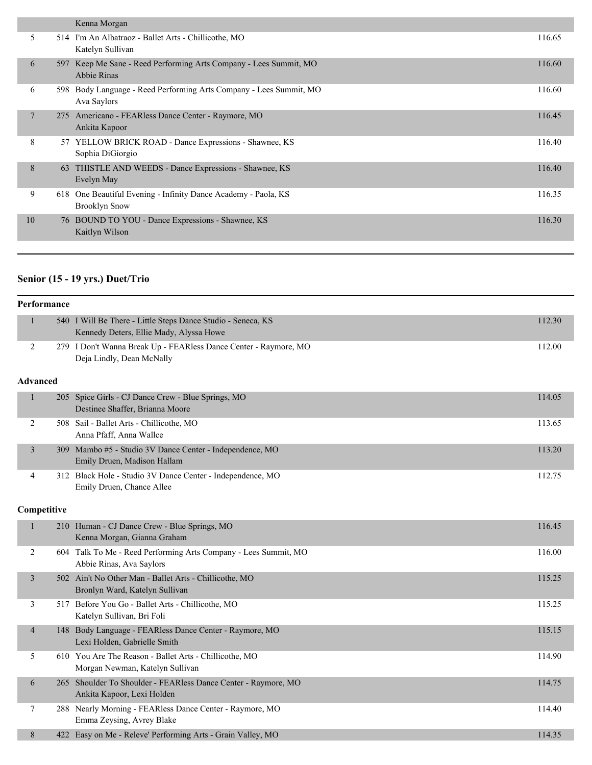|                |      | Kenna Morgan                                                                           |        |
|----------------|------|----------------------------------------------------------------------------------------|--------|
| 5              |      | 514 I'm An Albatraoz - Ballet Arts - Chillicothe, MO<br>Katelyn Sullivan               | 116.65 |
| 6              | 597  | Keep Me Sane - Reed Performing Arts Company - Lees Summit, MO<br>Abbie Rinas           | 116.60 |
| 6              | 598. | Body Language - Reed Performing Arts Company - Lees Summit, MO<br>Ava Saylors          | 116.60 |
| $\overline{7}$ | 275  | Americano - FEARless Dance Center - Raymore, MO<br>Ankita Kapoor                       | 116.45 |
| 8              |      | 57 YELLOW BRICK ROAD - Dance Expressions - Shawnee, KS<br>Sophia DiGiorgio             | 116.40 |
| 8              | 63   | THISTLE AND WEEDS - Dance Expressions - Shawnee, KS<br>Evelyn May                      | 116.40 |
| 9              |      | 618 One Beautiful Evening - Infinity Dance Academy - Paola, KS<br><b>Brooklyn Snow</b> | 116.35 |
| 10             |      | 76 BOUND TO YOU - Dance Expressions - Shawnee, KS<br>Kaitlyn Wilson                    | 116.30 |
|                |      |                                                                                        |        |

# **Senior (15 - 19 yrs.) Duet/Trio**

|                 | Performance |                                                                                                         |        |  |  |
|-----------------|-------------|---------------------------------------------------------------------------------------------------------|--------|--|--|
| $\mathbf{1}$    |             | 540 I Will Be There - Little Steps Dance Studio - Seneca, KS<br>Kennedy Deters, Ellie Mady, Alyssa Howe | 112.30 |  |  |
| 2               |             | 279 I Don't Wanna Break Up - FEARless Dance Center - Raymore, MO<br>Deja Lindly, Dean McNally           | 112.00 |  |  |
| <b>Advanced</b> |             |                                                                                                         |        |  |  |
| $\mathbf{1}$    |             | 205 Spice Girls - CJ Dance Crew - Blue Springs, MO<br>Destinee Shaffer, Brianna Moore                   | 114.05 |  |  |
| 2               |             | 508 Sail - Ballet Arts - Chillicothe, MO<br>Anna Pfaff, Anna Wallce                                     | 113.65 |  |  |
| 3               |             | 309 Mambo #5 - Studio 3V Dance Center - Independence, MO<br>Emily Druen, Madison Hallam                 | 113.20 |  |  |
| 4               |             | 312 Black Hole - Studio 3V Dance Center - Independence, MO<br>Emily Druen, Chance Allee                 | 112.75 |  |  |
| Competitive     |             |                                                                                                         |        |  |  |
| $\mathbf{1}$    |             | 210 Human - CJ Dance Crew - Blue Springs, MO<br>Kenna Morgan, Gianna Graham                             | 116.45 |  |  |
| 2               |             | 604 Talk To Me - Reed Performing Arts Company - Lees Summit, MO<br>Abbie Rinas, Ava Saylors             | 116.00 |  |  |
| 3               |             | 502 Ain't No Other Man - Ballet Arts - Chillicothe, MO<br>Bronlyn Ward, Katelyn Sullivan                | 115.25 |  |  |
| 3               |             | 517 Before You Go - Ballet Arts - Chillicothe, MO<br>Katelyn Sullivan, Bri Foli                         | 115.25 |  |  |
| $\overline{4}$  |             | 148 Body Language - FEARless Dance Center - Raymore, MO<br>Lexi Holden, Gabrielle Smith                 | 115.15 |  |  |
| 5               |             | 610 You Are The Reason - Ballet Arts - Chillicothe, MO<br>Morgan Newman, Katelyn Sullivan               | 114.90 |  |  |
| 6               |             | 265 Shoulder To Shoulder - FEARless Dance Center - Raymore, MO<br>Ankita Kapoor, Lexi Holden            | 114.75 |  |  |
| 7               |             | 288 Nearly Morning - FEARless Dance Center - Raymore, MO<br>Emma Zeysing, Avrey Blake                   | 114.40 |  |  |
| 8               |             | 422 Easy on Me - Releve' Performing Arts - Grain Valley, MO                                             | 114.35 |  |  |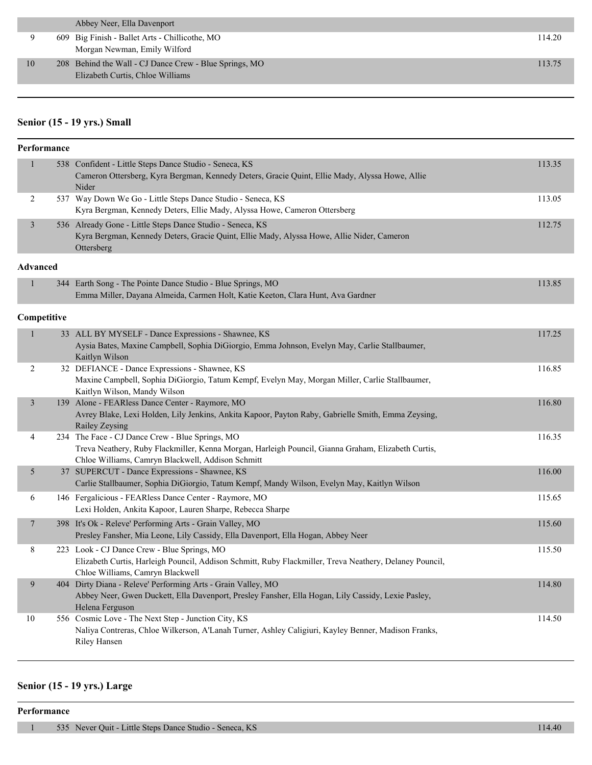|    | Abbey Neer, Ella Davenport                                                                 |        |
|----|--------------------------------------------------------------------------------------------|--------|
|    | 609 Big Finish - Ballet Arts - Chillicothe, MO<br>Morgan Newman, Emily Wilford             | 114.20 |
| 10 | 208 Behind the Wall - CJ Dance Crew - Blue Springs, MO<br>Elizabeth Curtis, Chloe Williams | 113.75 |

#### **Senior (15 - 19 yrs.) Small**

| Performance     |  |                                                                                                                                                                                                            |        |  |
|-----------------|--|------------------------------------------------------------------------------------------------------------------------------------------------------------------------------------------------------------|--------|--|
| $\mathbf{1}$    |  | 538 Confident - Little Steps Dance Studio - Seneca, KS<br>Cameron Ottersberg, Kyra Bergman, Kennedy Deters, Gracie Quint, Ellie Mady, Alyssa Howe, Allie<br>Nider                                          | 113.35 |  |
| 2               |  | 537 Way Down We Go - Little Steps Dance Studio - Seneca, KS<br>Kyra Bergman, Kennedy Deters, Ellie Mady, Alyssa Howe, Cameron Ottersberg                                                                   | 113.05 |  |
| $\overline{3}$  |  | 536 Already Gone - Little Steps Dance Studio - Seneca, KS<br>Kyra Bergman, Kennedy Deters, Gracie Quint, Ellie Mady, Alyssa Howe, Allie Nider, Cameron<br>Ottersberg                                       | 112.75 |  |
| <b>Advanced</b> |  |                                                                                                                                                                                                            |        |  |
| 1               |  | 344 Earth Song - The Pointe Dance Studio - Blue Springs, MO<br>Emma Miller, Dayana Almeida, Carmen Holt, Katie Keeton, Clara Hunt, Ava Gardner                                                             | 113.85 |  |
| Competitive     |  |                                                                                                                                                                                                            |        |  |
| $\mathbf{1}$    |  | 33 ALL BY MYSELF - Dance Expressions - Shawnee, KS<br>Aysia Bates, Maxine Campbell, Sophia DiGiorgio, Emma Johnson, Evelyn May, Carlie Stallbaumer,<br>Kaitlyn Wilson                                      | 117.25 |  |
| 2               |  | 32 DEFIANCE - Dance Expressions - Shawnee, KS<br>Maxine Campbell, Sophia DiGiorgio, Tatum Kempf, Evelyn May, Morgan Miller, Carlie Stallbaumer,<br>Kaitlyn Wilson, Mandy Wilson                            | 116.85 |  |
| $\mathfrak{Z}$  |  | 139 Alone - FEARless Dance Center - Raymore, MO<br>Avrey Blake, Lexi Holden, Lily Jenkins, Ankita Kapoor, Payton Raby, Gabrielle Smith, Emma Zeysing,<br>Railey Zeysing                                    | 116.80 |  |
| 4               |  | 234 The Face - CJ Dance Crew - Blue Springs, MO<br>Treva Neathery, Ruby Flackmiller, Kenna Morgan, Harleigh Pouncil, Gianna Graham, Elizabeth Curtis,<br>Chloe Williams, Camryn Blackwell, Addison Schmitt | 116.35 |  |
| 5               |  | 37 SUPERCUT - Dance Expressions - Shawnee, KS<br>Carlie Stallbaumer, Sophia DiGiorgio, Tatum Kempf, Mandy Wilson, Evelyn May, Kaitlyn Wilson                                                               | 116.00 |  |
| 6               |  | 146 Fergalicious - FEARless Dance Center - Raymore, MO<br>Lexi Holden, Ankita Kapoor, Lauren Sharpe, Rebecca Sharpe                                                                                        | 115.65 |  |
| $\overline{7}$  |  | 398 It's Ok - Releve' Performing Arts - Grain Valley, MO<br>Presley Fansher, Mia Leone, Lily Cassidy, Ella Davenport, Ella Hogan, Abbey Neer                                                               | 115.60 |  |
| 8               |  | 223 Look - CJ Dance Crew - Blue Springs, MO<br>Elizabeth Curtis, Harleigh Pouncil, Addison Schmitt, Ruby Flackmiller, Treva Neathery, Delaney Pouncil,<br>Chloe Williams, Camryn Blackwell                 | 115.50 |  |
| 9               |  | 404 Dirty Diana - Releve' Performing Arts - Grain Valley, MO<br>Abbey Neer, Gwen Duckett, Ella Davenport, Presley Fansher, Ella Hogan, Lily Cassidy, Lexie Pasley,<br>Helena Ferguson                      | 114.80 |  |
| 10              |  | 556 Cosmic Love - The Next Step - Junction City, KS<br>Naliya Contreras, Chloe Wilkerson, A'Lanah Turner, Ashley Caligiuri, Kayley Benner, Madison Franks,<br>Riley Hansen                                 | 114.50 |  |

#### **Senior (15 - 19 yrs.) Large**

**Performance**